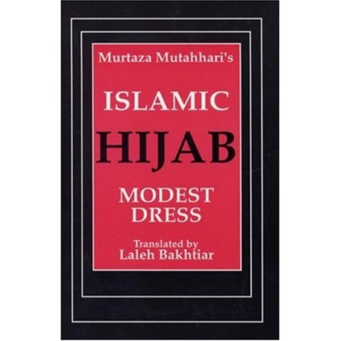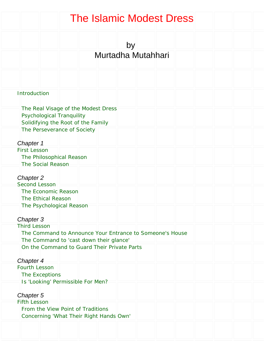# The Islamic Modest Dress by Murtadha Mutahhari [Introduction](#page-3-0) [The Real Visage of the Modest Dress](#page-6-0) [Psychological Tranquility](#page-7-0) [Solidifying the Root of the Family](#page-10-0) [The Perseverance of Society](#page-13-0) Chapter 1 [First Lesson](#page-16-0) The Philosophical Reason The Social Reason Chapter 2 [Second Lesson](#page-28-0) [The Economic Reason](#page-29-0) [The Ethical Reason](#page-31-0) [The Psychological Reason](#page-34-0) Chapter 3 [Third Lesson](#page-42-0) [The Command to Announce Your Entrance to Someone's House](#page-44-0) [The Command to 'cast down their glance'](#page-48-0) [On the Command to Guard Their Private Parts](#page-50-0) Chapter 4 [Fourth Lesson](#page-52-0) [The Exceptions](#page-52-1) [Is 'Looking' Permissible For Men?](#page-54-0) Chapter 5 [Fifth Lesson](#page-61-0) [From the View Point of Traditions](#page-61-1) [Concerning 'What Their Right Hands Own'](#page-62-0)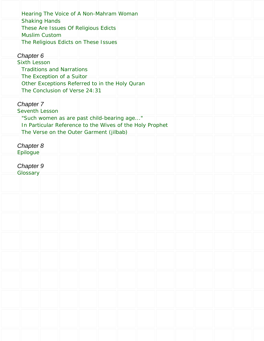| Hearing The Voice of A Non-Mahram Woman                                                             |  |
|-----------------------------------------------------------------------------------------------------|--|
| <b>Shaking Hands</b><br>These Are Issues Of Religious Edicts                                        |  |
| <b>Muslim Custom</b>                                                                                |  |
| The Religious Edicts on These Issues                                                                |  |
| Chapter <sub>6</sub>                                                                                |  |
| <b>Sixth Lesson</b><br><b>Traditions and Narrations</b>                                             |  |
| The Exception of a Suitor                                                                           |  |
| Other Exceptions Referred to in the Holy Quran<br>The Conclusion of Verse 24:31                     |  |
|                                                                                                     |  |
| Chapter 7<br><b>Seventh Lesson</b>                                                                  |  |
| "Such women as are past child-bearing age"                                                          |  |
| In Particular Reference to the Wives of the Holy Prophet<br>The Verse on the Outer Garment (jilbab) |  |
|                                                                                                     |  |
| Chapter 8<br>Epilogue                                                                               |  |
|                                                                                                     |  |
| Chapter 9<br>Glossary                                                                               |  |
|                                                                                                     |  |
|                                                                                                     |  |
|                                                                                                     |  |
|                                                                                                     |  |
|                                                                                                     |  |
|                                                                                                     |  |
|                                                                                                     |  |
|                                                                                                     |  |
|                                                                                                     |  |
|                                                                                                     |  |
|                                                                                                     |  |
|                                                                                                     |  |
|                                                                                                     |  |
|                                                                                                     |  |
|                                                                                                     |  |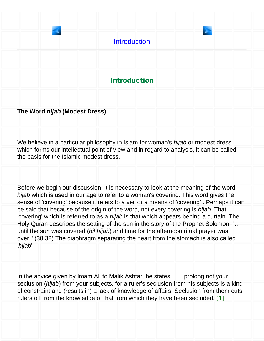### **Introduction**



#### <span id="page-3-0"></span>**The Word hijab (Modest Dress)**

We believe in a particular philosophy in Islam for woman's *hijab* or modest dress which forms our intellectual point of view and in regard to analysis, it can be called the basis for the Islamic modest dress.

Before we begin our discussion, it is necessary to look at the meaning of the word hijab which is used in our age to refer to a woman's covering. This word gives the sense of 'covering' because it refers to a veil or a means of 'covering' . Perhaps it can be said that because of the origin of the word, not every covering is hijab. That 'covering' which is referred to as a hijab is that which appears behind a curtain. The Holy Quran describes the setting of the sun in the story of the Prophet Solomon, "... until the sun was covered (bil hijab) and time for the afternoon ritual prayer was over." (38:32) The diaphragm separating the heart from the stomach is also called 'hijab'.

<span id="page-3-1"></span>In the advice given by Imam Ali to Malik Ashtar, he states, " ... prolong not your seclusion (*hijab*) from your subjects, for a ruler's seclusion from his subjects is a kind of constraint and (results in) a lack of knowledge of affairs. Seclusion from them cuts rulers off from the knowledge of that from which they have been secluded. [\[1\]](#page-14-0)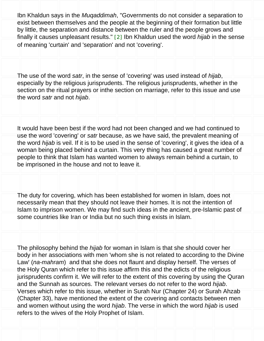<span id="page-4-0"></span>Ibn Khaldun says in the Muqaddimah, "Governments do not consider a separation to exist between themselves and the people at the beginning of their formation but little by little, the separation and distance between the ruler and the people grows and finally it causes unpleasant results." [\[2\]](#page-14-1) Ibn Khaldun used the word hijab in the sense of meaning 'curtain' and 'separation' and not 'covering'.

The use of the word satr, in the sense of 'covering' was used instead of *hijab*, especially by the religious jurisprudents. The religious jurisprudents, whether in the section on the ritual prayers or inthe section on marriage, refer to this issue and use the word satr and not hijab.

It would have been best if the word had not been changed and we had continued to use the word 'covering' or satr because, as we have said, the prevalent meaning of the word hijab is veil. If it is to be used in the sense of 'covering', it gives the idea of a woman being placed behind a curtain. This very thing has caused a great number of people to think that Islam has wanted women to always remain behind a curtain, to be imprisoned in the house and not to leave it.

The duty for covering, which has been established for women in Islam, does not necessarily mean that they should not leave their homes. It is not the intention of Islam to imprison women. We may find such ideas in the ancient, pre-Islamic past of some countries like Iran or India but no such thing exists in Islam.

The philosophy behind the *hijab* for woman in Islam is that she should cover her body in her associations with men 'whom she is not related to according to the Divine Law' (na-mahram) and that she does not flaunt and display herself. The verses of the Holy Quran which refer to this issue affirm this and the edicts of the religious jurisprudents confirm it. We will refer to the extent of this covering by using the Quran and the Sunnah as sources. The relevant verses do not refer to the word hijab. Verses which refer to this issue, whether in Surah Nur (Chapter 24) or Surah Ahzab (Chapter 33), have mentioned the extent of the covering and contacts between men and women without using the word *hijab*. The verse in which the word *hijab* is used refers to the wives of the Holy Prophet of Islam.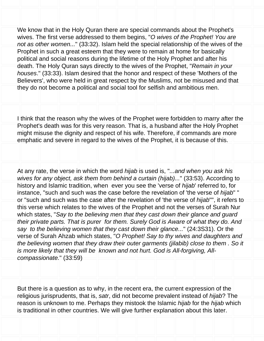We know that in the Holy Quran there are special commands about the Prophet's wives. The first verse addressed to them begins, "O wives of the Prophet! You are not as other women..." (33:32). Islam held the special relationship of the wives of the Prophet in such a great esteem that they were to remain at home for basically political and social reasons during the lifetime of the Holy Prophet and after his death. The Holy Quran says directly to the wives of the Prophet, "Remain in your houses." (33:33). Islam desired that the honor and respect of these 'Mothers of the Believers', who were held in great respect by the Muslims, not be misused and that they do not become a political and social tool for selfish and ambitious men.

I think that the reason why the wives of the Prophet were forbidden to marry after the Prophet's death was for this very reason. That is, a husband after the Holy Prophet might misuse the dignity and respect of his wife. Therefore, if commands are more emphatic and severe in regard to the wives of the Prophet, it is because of this.

At any rate, the verse in which the word hijab is used is, "...and when you ask his wives for any object, ask them from behind a curtain (hijab)..." (33:53). According to history and Islamic tradition, when ever you see the 'verse of hijab' referred to, for instance, "such and such was the case before the revelation of 'the verse of hijab" " or "such and such was the case after the revelation of 'the verse of hijab"", it refers to this verse which relates to the wives of the Prophet and not the verses of Surah Nur which states, "Say to the believing men that they cast down their glance and guard their private parts. That is purer for them. Surely God is Aware of what they do. And say to the believing women that they cast down their glance..." (24:3S31). Or the verse of Surah Ahzab which states, "O Prophet! Say to thy wives and daughters and the believing women that they draw their outer garments (jilabib) close to them . So it is more likely that they will be known and not hurt. God is All-forgiving, Allcompassionate." (33:59)

But there is a question as to why, in the recent era, the current expression of the religious jurisprudents, that is, satr, did not become prevalent instead of hijab? The reason is unknown to me. Perhaps they mistook the Islamic *hijab* for the *hijab* which is traditional in other countries. We will give further explanation about this later.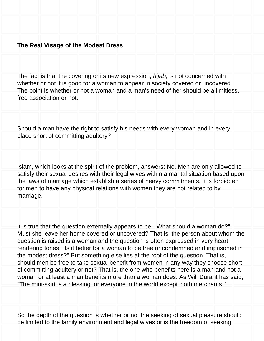#### <span id="page-6-0"></span>**The Real Visage of the Modest Dress**

The fact is that the covering or its new expression, *hijab*, is not concerned with whether or not it is good for a woman to appear in society covered or uncovered. The point is whether or not a woman and a man's need of her should be a limitless, free association or not.

Should a man have the right to satisfy his needs with every woman and in every place short of committing adultery?

Islam, which looks at the spirit of the problem, answers: No. Men are only allowed to satisfy their sexual desires with their legal wives within a marital situation based upon the laws of marriage which establish a series of heavy commitments. It is forbidden for men to have any physical relations with women they are not related to by marriage.

It is true that the question externally appears to be, "What should a woman do?" Must she leave her home covered or uncovered? That is, the person about whom the question is raised is a woman and the question is often expressed in very heartrendering tones, "Is it better for a woman to be free or condemned and imprisoned in the modest dress?" But something else lies at the root of the question. That is, should men be free to take sexual benefit from women in any way they choose short of committing adultery or not? That is, the one who benefits here is a man and not a woman or at least a man benefits more than a woman does. As Will Durant has said, "The mini-skirt is a blessing for everyone in the world except cloth merchants."

So the depth of the question is whether or not the seeking of sexual pleasure should be limited to the family environment and legal wives or is the freedom of seeking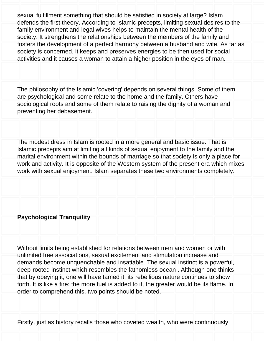sexual fulfillment something that should be satisfied in society at large? Islam defends the first theory. According to Islamic precepts, limiting sexual desires to the family environment and legal wives helps to maintain the mental health of the society. It strengthens the relationships between the members of the family and fosters the development of a perfect harmony between a husband and wife. As far as society is concerned, it keeps and preserves energies to be then used for social activities and it causes a woman to attain a higher position in the eyes of man.

The philosophy of the Islamic 'covering' depends on several things. Some of them are psychological and some relate to the home and the family. Others have sociological roots and some of them relate to raising the dignity of a woman and preventing her debasement.

The modest dress in Islam is rooted in a more general and basic issue. That is, Islamic precepts aim at limiting all kinds of sexual enjoyment to the family and the marital environment within the bounds of marriage so that society is only a place for work and activity. It is opposite of the Western system of the present era which mixes work with sexual enjoyment. Islam separates these two environments completely.

#### <span id="page-7-0"></span>**Psychological Tranquility**

Without limits being established for relations between men and women or with unlimited free associations, sexual excitement and stimulation increase and demands become unquenchable and insatiable. The sexual instinct is a powerful, deep-rooted instinct which resembles the fathomless ocean . Although one thinks that by obeying it, one will have tamed it, its rebellious nature continues to show forth. It is like a fire: the more fuel is added to it, the greater would be its flame. In order to comprehend this, two points should be noted.

Firstly, just as history recalls those who coveted wealth, who were continuously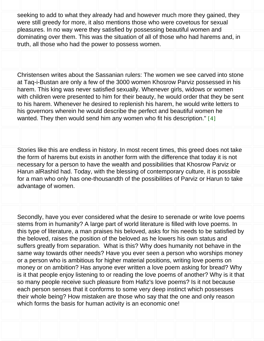seeking to add to what they already had and however much more they gained, they were still greedy for more, it also mentions those who were covetous for sexual pleasures. In no way were they satisfied by possessing beautiful women and dominating over them. This was the situation of all of those who had harems and, in truth, all those who had the power to possess women.

Christensen writes about the Sassanian rulers: The women we see carved into stone at Taq-i-Bustan are only a few of the 3000 women Khosrow Parviz possessed in his harem. This king was never satisfied sexually. Whenever girls, widows or women with children were presented to him for their beauty, he would order that they be sent to his harem. Whenever he desired to replenish his harem, he would write letters to his governors wherein he would describe the perfect and beautiful women he wanted. They then would send him any women who fit his description." [\[4\]](#page-15-0)

<span id="page-8-0"></span>Stories like this are endless in history. In most recent times, this greed does not take the form of harems but exists in another form with the difference that today it is not necessary for a person to have the wealth and possibilities that Khosrow Parviz or Harun alRashid had. Today, with the blessing of contemporary culture, it is possible for a man who only has one-thousandth of the possibilities of Parviz or Harun to take advantage of women.

Secondly, have you ever considered what the desire to serenade or write love poems stems from in humanity? A large part of world literature is filled with love poems. In this type of literature, a man praises his beloved, asks for his needs to be satisfied by the beloved, raises the position of the beloved as he lowers his own status and suffers greatly from separation. What is this? Why does humanity not behave in the same way towards other needs? Have you ever seen a person who worships money or a person who is ambitious for higher material positions, writing love poems on money or on ambition? Has anyone ever written a love poem asking for bread? Why is it that people enjoy listening to or reading the love poems of another? Why is it that so many people receive such pleasure from Hafiz's love poems? Is it not because each person senses that it conforms to some very deep instinct which possesses their whole being? How mistaken are those who say that the one and only reason which forms the basis for human activity is an economic one!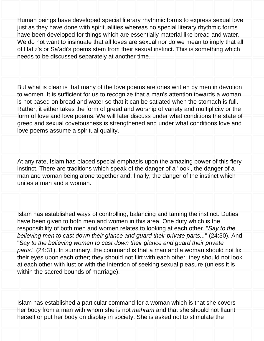Human beings have developed special literary rhythmic forms to express sexual love just as they have done with spiritualities whereas no special literary rhythmic forms have been developed for things which are essentially material like bread and water. We do not want to insinuate that all loves are sexual nor do we mean to imply that all of Hafiz's or Sa'adi's poems stem from their sexual instinct. This is something which needs to be discussed separately at another time.

But what is clear is that many of the love poems are ones written by men in devotion to women. It is sufficient for us to recognize that a man's attention towards a woman is not based on bread and water so that it can be satiated when the stomach is full. Rather, it either takes the form of greed and worship of variety and multiplicity or the form of love and love poems. We will later discuss under what conditions the state of greed and sexual covetousness is strengthened and under what conditions love and love poems assume a spiritual quality.

At any rate, Islam has placed special emphasis upon the amazing power of this fiery instinct. There are traditions which speak of the danger of a 'look', the danger of a man and woman being alone together and, finally, the danger of the instinct which unites a man and a woman.

Islam has established ways of controlling, balancing and taming the instinct. Duties have been given to both men and women in this area. One duty which is the responsibility of both men and women relates to looking at each other. "Say to the believing men to cast down their glance and guard their private parts..." (24:30). And, "Say to the believing women to cast down their glance and guard their private parts." (24:31). In summary, the command is that a man and a woman should not fix their eyes upon each other; they should not flirt with each other; they should not look at each other with lust or with the intention of seeking sexual pleasure (unless it is within the sacred bounds of marriage).

Islam has established a particular command for a woman which is that she covers her body from a man with whom she is not *mahram* and that she should not flaunt herself or put her body on display in society. She is asked not to stimulate the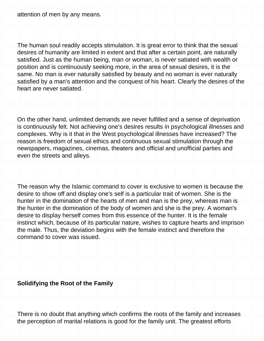attention of men by any means.

The human soul readily accepts stimulation. It is great error to think that the sexual desires of humanity are limited in extent and that after a certain point, are naturally satisfied. Just as the human being, man or woman, is never satiated with wealth or position and is continuously seeking more, in the area of sexual desires, it is the same. No man is ever naturally satisfied by beauty and no woman is ever naturally satisfied by a man's attention and the conquest of his heart. Clearly the desires of the heart are never satiated.

On the other hand, unlimited demands are never fulfilled and a sense of deprivation is continuously felt. Not achieving one's desires results in psychological illnesses and complexes. Why is it that in the West psychological illnesses have increased? The reason is freedom of sexual ethics and continuous sexual stimulation through the newspapers, magazines, cinemas, theaters and official and unofficial parties and even the streets and alleys.

The reason why the Islamic command to cover is exclusive to women is because the desire to show off and display one's self is a particular trait of women. She is the hunter in the domination of the hearts of men and man is the prey, whereas man is the hunter in the domination of the body of women and she is the prey. A woman's desire to display herself comes from this essence of the hunter. It is the female instinct which, because of its particular nature, wishes to capture hearts and imprison the male. Thus, the deviation begins with the female instinct and therefore the command to cover was issued.

#### <span id="page-10-0"></span>**Solidifying the Root of the Family**

There is no doubt that anything which confirms the roots of the family and increases the perception of marital relations is good for the family unit. The greatest efforts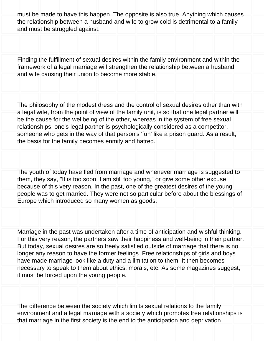must be made to have this happen. The opposite is also true. Anything which causes the relationship between a husband and wife to grow cold is detrimental to a family and must be struggled against.

Finding the fulfillment of sexual desires within the family environment and within the framework of a legal marriage will strengthen the relationship between a husband and wife causing their union to become more stable.

The philosophy of the modest dress and the control of sexual desires other than with a legal wife, from the point of view of the family unit, is so that one legal partner will be the cause for the wellbeing of the other, whereas in the system of free sexual relationships, one's legal partner is psychologically considered as a competitor, someone who gets in the way of that person's 'fun' like a prison guard. As a result, the basis for the family becomes enmity and hatred.

The youth of today have fled from marriage and whenever marriage is suggested to them, they say, "It is too soon. I am still too young," or give some other excuse because of this very reason. In the past, one of the greatest desires of the young people was to get married. They were not so particular before about the blessings of Europe which introduced so many women as goods.

Marriage in the past was undertaken after a time of anticipation and wishful thinking. For this very reason, the partners saw their happiness and well-being in their partner. But today, sexual desires are so freely satisfied outside of marriage that there is no longer any reason to have the former feelings. Free relationships of girls and boys have made marriage look like a duty and a limitation to them. It then becomes necessary to speak to them about ethics, morals, etc. As some magazines suggest, it must be forced upon the young people.

The difference between the society which limits sexual relations to the family environment and a legal marriage with a society which promotes free relationships is that marriage in the first society is the end to the anticipation and deprivation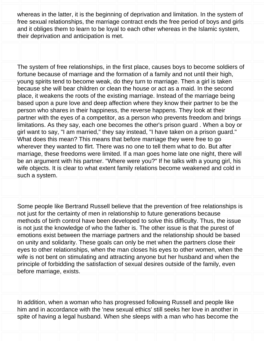whereas in the latter, it is the beginning of deprivation and limitation. In the system of free sexual relationships, the marriage contract ends the free period of boys and girls and it obliges them to learn to be loyal to each other whereas in the Islamic system, their deprivation and anticipation is met.

The system of free relationships, in the first place, causes boys to become soldiers of fortune because of marriage and the formation of a family and not until their high, young spirits tend to become weak, do they turn to marriage. Then a girl is taken because she will bear children or clean the house or act as a maid. In the second place, it weakens the roots of the existing marriage. Instead of the marriage being based upon a pure love and deep affection where they know their partner to be the person who shares in their happiness, the reverse happens. They look at their partner with the eyes of a competitor, as a person who prevents freedom and brings limitations. As they say, each one becomes the other's prison guard . When a boy or girl want to say, "I am married," they say instead, "I have taken on a prison guard." What does this mean? This means that before marriage they were free to go wherever they wanted to flirt. There was no one to tell them what to do. But after marriage, these freedoms were limited. If a man goes home late one night, there will be an argument with his partner. "Where were you?" If he talks with a young girl, his wife objects. It is clear to what extent family relations become weakened and cold in such a system.

Some people like Bertrand Russell believe that the prevention of free relationships is not just for the certainty of men in relationship to future generations because methods of birth control have been developed to solve this difficulty. Thus, the issue is not just the knowledge of who the father is. The other issue is that the purest of emotions exist between the marriage partners and the relationship should be based on unity and solidarity. These goals can only be met when the partners close their eyes to other relationships, when the man closes his eyes to other women, when the wife is not bent on stimulating and attracting anyone but her husband and when the principle of forbidding the satisfaction of sexual desires outside of the family, even before marriage, exists.

In addition, when a woman who has progressed following Russell and people like him and in accordance with the 'new sexual ethics' still seeks her love in another in spite of having a legal husband. When she sleeps with a man who has become the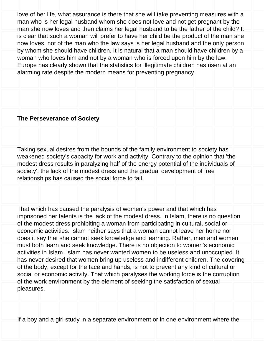love of her life, what assurance is there that she will take preventing measures with a man who is her legal husband whom she does not love and not get pregnant by the man she now loves and then claims her legal husband to be the father of the child? It is clear that such a woman will prefer to have her child be the product of the man she now loves, not of the man who the law says is her legal husband and the only person by whom she should have children. It is natural that a man should have children by a woman who loves him and not by a woman who is forced upon him by the law. Europe has clearly shown that the statistics for illegitimate children has risen at an alarming rate despite the modern means for preventing pregnancy.

#### <span id="page-13-0"></span>**The Perseverance of Society**

Taking sexual desires from the bounds of the family environment to society has weakened society's capacity for work and activity. Contrary to the opinion that 'the modest dress results in paralyzing half of the energy potential of the individuals of society', the lack of the modest dress and the gradual development of free relationships has caused the social force to fail.

That which has caused the paralysis of women's power and that which has imprisoned her talents is the lack of the modest dress. In Islam, there is no question of the modest dress prohibiting a woman from participating in cultural, social or economic activities. Islam neither says that a woman cannot leave her home nor does it say that she cannot seek knowledge and learning. Rather, men and women must both learn and seek knowledge. There is no objection to women's economic activities in Islam. Islam has never wanted women to be useless and unoccupied. It has never desired that women bring up useless and indifferent children. The covering of the body, except for the face and hands, is not to prevent any kind of cultural or social or economic activity. That which paralyses the working force is the corruption of the work environment by the element of seeking the satisfaction of sexual pleasures.

If a boy and a girl study in a separate environment or in one environment where the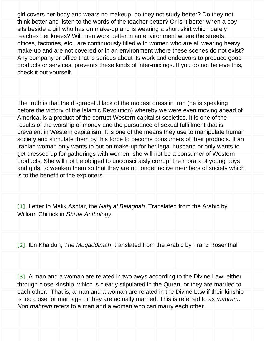girl covers her body and wears no makeup, do they not study better? Do they not think better and listen to the words of the teacher better? Or is it better when a boy sits beside a girl who has on make-up and is wearing a short skirt which barely reaches her knees? Will men work better in an environment where the streets, offices, factories, etc., are continuously filled with women who are all wearing heavy make-up and are not covered or in an environment where these scenes do not exist? Any company or office that is serious about its work and endeavors to produce good products or services, prevents these kinds of inter-mixings. If you do not believe this, check it out yourself.

The truth is that the disgraceful lack of the modest dress in Iran (he is speaking before the victory of the Islamic Revolution) whereby we were even moving ahead of America, is a product of the corrupt Western capitalist societies. It is one of the results of the worship of money and the pursuance of sexual fulfillment that is prevalent in Western capitalism. It is one of the means they use to manipulate human society and stimulate them by this force to become consumers of their products. If an Iranian woman only wants to put on make-up for her legal husband or only wants to get dressed up for gatherings with women, she will not be a consumer of Western products. She will not be obliged to unconsciously corrupt the morals of young boys and girls, to weaken them so that they are no longer active members of society which is to the benefit of the exploiters.

<span id="page-14-0"></span>[\[1\]](#page-3-1). Letter to Malik Ashtar, the Nahj al Balaghah, Translated from the Arabic by William Chittick in Shi'ite Anthology.

<span id="page-14-1"></span>[\[2\]](#page-4-0). Ibn Khaldun, The Mugaddimah, translated from the Arabic by Franz Rosenthal

[\[3\]](#page-3-0). A man and a woman are related in two awys according to the Divine Law, either through close kinship, which is clearly stipulated in the Quran, or they are married to each other. That is, a man and a woman are related in the Divine Law if their kinship is too close for marriage or they are actually married. This is referred to as mahram. Non mahram refers to a man and a woman who can marry each other.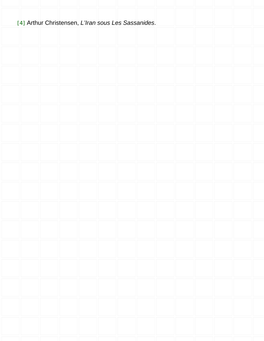| [4] Arthur Christensen, L'Iran sous Les Sassanides. |  |  |
|-----------------------------------------------------|--|--|
|-----------------------------------------------------|--|--|

<span id="page-15-0"></span>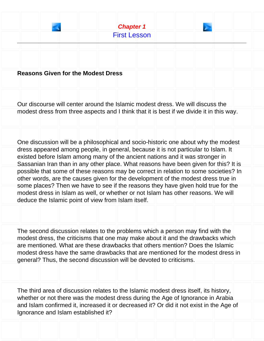

#### <span id="page-16-0"></span>**Reasons Given for the Modest Dress**

Our discourse will center around the Islamic modest dress. We will discuss the modest dress from three aspects and I think that it is best if we divide it in this way.

One discussion will be a philosophical and socio-historic one about why the modest dress appeared among people, in general, because it is not particular to Islam. It existed before Islam among many of the ancient nations and it was stronger in Sassanian Iran than in any other place. What reasons have been given for this? It is possible that some of these reasons may be correct in relation to some societies? In other words, are the causes given for the development of the modest dress true in some places? Then we have to see if the reasons they have given hold true for the modest dress in Islam as well, or whether or not Islam has other reasons. We will deduce the Islamic point of view from Islam itself.

The second discussion relates to the problems which a person may find with the modest dress, the criticisms that one may make about it and the drawbacks which are mentioned. What are these drawbacks that others mention? Does the Islamic modest dress have the same drawbacks that are mentioned for the modest dress in general? Thus, the second discussion will be devoted to criticisms.

The third area of discussion relates to the Islamic modest dress itself, its history, whether or not there was the modest dress during the Age of Ignorance in Arabia and Islam confirmed it, increased it or decreased it? Or did it not exist in the Age of Ignorance and Islam established it?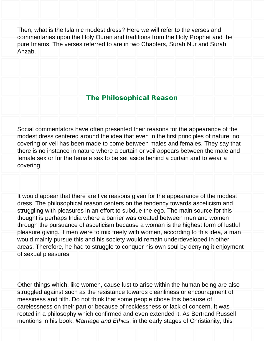Then, what is the Islamic modest dress? Here we will refer to the verses and commentaries upon the Holy Ouran and traditions from the Holy Prophet and the pure Imams. The verses referred to are in two Chapters, Surah Nur and Surah Ahzab.

### The Philosophical Reason

Social commentators have often presented their reasons for the appearance of the modest dress centered around the idea that even in the first principles of nature, no covering or veil has been made to come between males and females. They say that there is no instance in nature where a curtain or veil appears between the male and female sex or for the female sex to be set aside behind a curtain and to wear a covering.

It would appear that there are five reasons given for the appearance of the modest dress. The philosophical reason centers on the tendency towards asceticism and struggling with pleasures in an effort to subdue the ego. The main source for this thought is perhaps India where a barrier was created between men and women through the pursuance of asceticism because a woman is the highest form of lustful pleasure giving. If men were to mix freely with women, according to this idea, a man would mainly pursue this and his society would remain underdeveloped in other areas. Therefore, he had to struggle to conquer his own soul by denying it enjoyment of sexual pleasures.

Other things which, like women, cause lust to arise within the human being are also struggled against such as the resistance towards cleanliness or encouragment of messiness and filth. Do not think that some people chose this because of carelessness on their part or because of recklessness or lack of concern. It was rooted in a philosophy which confirmed and even extended it. As Bertrand Russell mentions in his book, *Marriage and Ethics*, in the early stages of Christianity, this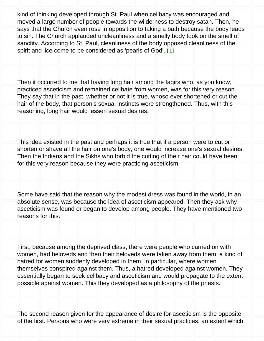kind of thinking developed through St. Paul when celibacy was encouraged and moved a large number of people towards the wilderness to destroy satan. Then, he says that the Church even rose in opposition to taking a bath because the body leads to sin. The Church applauded uncleanliness and a smelly body took on the smell of sanctity. According to St. Paul, cleanliness of the body opposed cleanliness of the spirit and lice come to be considered as 'pearls of God'. [1]

Then it occurred to me that having long hair among the faqirs who, as you know, practiced asceticism and remained celibate from women, was for this very reason. They say that in the past, whether or not it is true, whoso ever shortened or cut the hair of the body, that person's sexual instincts were strengthened. Thus, with this reasoning, long hair would lessen sexual desires.

This idea existed in the past and perhaps it is true that if a person were to cut or shorten or shave all the hair on one's body, one would increase one's sexual desires. Then the Indians and the Sikhs who forbid the cutting of their hair could have been for this very reason because they were practicing asceticism.

Some have said that the reason why the modest dress was found in the world, in an absolute sense, was because the idea of asceticism appeared. Then they ask why asceticism was found or began to develop among people. They have mentioned two reasons for this.

First, because among the deprived class, there were people who carried on with women, had beloveds and then their beloveds were taken away from them, a kind of hatred for women suddenly developed in them, in particular, where women themselves conspired against them. Thus, a hatred developed against women. They essentially began to seek celibacy and asceticism and would propagate to the extent possible against women. This they developed as a philosophy of the priests.

The second reason given for the appearance of desire for asceticism is the opposite of the first. Persons who were very extreme in their sexual practices, an extent which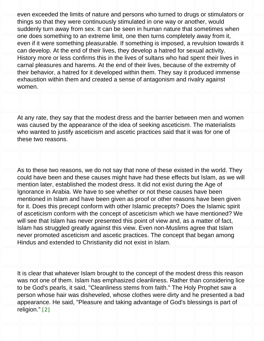even exceeded the limits of nature and persons who turned to drugs or stimulators or things so that they were continuously stimulated in one way or another, would suddenly turn away from sex. It can be seen in human nature that sometimes when one does something to an extreme limit, one then turns completely away from it, even if it were something pleasurable. If something is imposed, a revulsion towards it can develop. At the end of their lives, they develop a hatred for sexual activity. History more or less confirms this in the lives of sultans who had spent their lives in carnal pleasures and harems. At the end of their lives, because of the extremity of their behavior, a hatred for it developed within them. They say it produced immense exhaustion within them and created a sense of antagonism and rivalry against women.

At any rate, they say that the modest dress and the barrier between men and women was caused by the appearance of the idea of seeking asceticism. The materialists who wanted to justify asceticism and ascetic practices said that it was for one of these two reasons.

As to these two reasons, we do not say that none of these existed in the world. They could have been and these causes might have had these effects but Islam, as we will mention later, established the modest dress. It did not exist during the Age of Ignorance in Arabia. We have to see whether or not these causes have been mentioned in Islam and have been given as proof or other reasons have been given for it. Does this precept conform with other Islamic precepts? Does the Islamic spirit of asceticism conform with the concept of asceticism which we have mentioned? We will see that Islam has never presented this point of view and, as a matter of fact, Islam has struggled greatly against this view. Even non-Muslims agree that Islam never promoted asceticism and ascetic practices. The concept that began among Hindus and extended to Christianity did not exist in Islam.

It is clear that whatever Islam brought to the concept of the modest dress this reason was not one of them. Islam has emphasized cleanliness. Rather than considering lice to be God's pearls, it said, "Cleanliness stems from faith." The Holy Prophet saw a person whose hair was disheveled, whose clothes were dirty and he presented a bad appearance. He said, "Pleasure and taking advantage of God's blessings is part of religion." [2]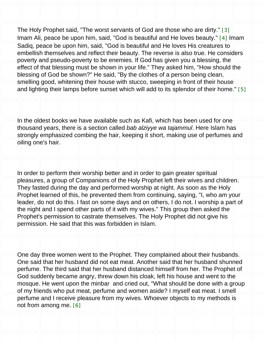The Holy Prophet said, "The worst servants of God are those who are dirty." [3] Imam Ali, peace be upon him, said, "God is beautiful and He loves beauty." [4] Imam Sadiq, peace be upon him, said, "God is beautiful and He loves His creatures to embellish themselves and reflect their beauty. The reverse is also true. He considers poverty and pseudo-poverty to be enemies. If God has given you a blessing, the effect of that blessing must be shown in your life." They asked him, "How should the blessing of God be shown?" He said, "By the clothes of a person being clean, smelling good, whitening their house with stucco, sweeping in front of their house and lighting their lamps before sunset which will add to its splendor of their home." [5]

In the oldest books we have available such as Kafi, which has been used for one thousand years, there is a section called bab alziyye wa tajammul. Here Islam has strongly emphasized combing the hair, keeping it short, making use of perfumes and oiling one's hair.

In order to perform their worship better and in order to gain greater spiritual pleasures, a group of Companions of the Holy Prophet left their wives and children. They fasted during the day and performed worship at night. As soon as the Holy Prophet learned of this, he prevented them from continuing, saying, "I, who am your leader, do not do this. I fast on some days and on others, I do not. I worship a part of the night and I spend other parts of it with my wives." This group then asked the Prophet's permission to castrate themselves. The Holy Prophet did not give his permission. He said that this was forbidden in Islam.

One day three women went to the Prophet. They complained about their husbands. One said that her husband did not eat meat. Another said that her husband shunned perfume. The third said that her husband distanced himself from her. The Prophet of God suddenly became angry, threw down his cloak, left his house and went to the mosque. He went upon the minbar and cried out, "What should be done with a group of my friends who put meat, perfume and women aside? I myself eat meat. I smell perfume and I receive pleasure from my wives. Whoever objects to my methods is not from among me. [6]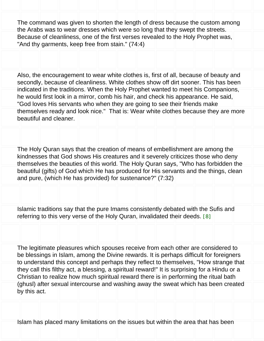The command was given to shorten the length of dress because the custom among the Arabs was to wear dresses which were so long that they swept the streets. Because of cleanliness, one of the first verses revealed to the Holy Prophet was, "And thy garments, keep free from stain." (74:4)

Also, the encouragement to wear white clothes is, first of all, because of beauty and secondly, because of cleanliness. White clothes show off dirt sooner. This has been indicated in the traditions. When the Holy Prophet wanted to meet his Companions, he would first look in a mirror, comb his hair, and check his appearance. He said, "God loves His servants who when they are going to see their friends make themselves ready and look nice." That is: Wear white clothes because they are more beautiful and cleaner.

The Holy Quran says that the creation of means of embellishment are among the kindnesses that God shows His creatures and it severely criticizes those who deny themselves the beauties of this world. The Holy Quran says, "Who has forbidden the beautiful (gifts) of God which He has produced for His servants and the things, clean and pure, (which He has provided) for sustenance?" (7:32)

Islamic traditions say that the pure Imams consistently debated with the Sufis and referring to this very verse of the Holy Quran, invalidated their deeds. [8]

The legitimate pleasures which spouses receive from each other are considered to be blessings in Islam, among the Divine rewards. It is perhaps difficult for foreigners to understand this concept and perhaps they reflect to themselves, "How strange that they call this filthy act, a blessing, a spiritual reward!" It is surprising for a Hindu or a Christian to realize how much spiritual reward there is in performing the ritual bath (ghusl) after sexual intercourse and washing away the sweat which has been created by this act.

Islam has placed many limitations on the issues but within the area that has been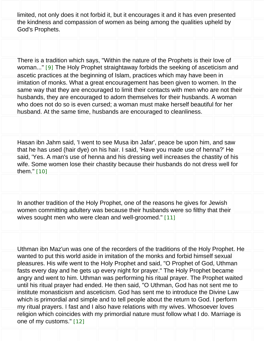limited, not only does it not forbid it, but it encourages it and it has even presented the kindness and compassion of women as being among the qualities upheld by God's Prophets.

There is a tradition which says, "Within the nature of the Prophets is their love of woman..." [9] The Holy Prophet straightaway forbids the seeking of asceticism and ascetic practices at the beginning of Islam, practices which may have been in imitation of monks. What a great encouragement has been given to women. In the same way that they are encouraged to limit their contacts with men who are not their husbands, they are encouraged to adorn themselves for their husbands. A woman who does not do so is even cursed; a woman must make herself beautiful for her husband. At the same time, husbands are encouraged to cleanliness.

Hasan ibn Jahm said, 'I went to see Musa ibn Jafar', peace be upon him, and saw that he has used (hair dye) on his hair. I said, 'Have you made use of henna?' He said, 'Yes. A man's use of henna and his dressing well increases the chastity of his wife. Some women lose their chastity because their husbands do not dress well for them." [10]

In another tradition of the Holy Prophet, one of the reasons he gives for Jewish women committing adultery was because their husbands were so filthy that their wives sought men who were clean and well-groomed." [11]

Uthman ibn Maz'un was one of the recorders of the traditions of the Holy Prophet. He wanted to put this world aside in imitation of the monks and forbid himself sexual pleasures. His wife went to the Holy Prophet and said, "O Prophet of God, Uthman fasts every day and he gets up every night for prayer." The Holy Prophet became angry and went to him. Uthman was performing his ritual prayer. The Prophet waited until his ritual prayer had ended. He then said, "O Uthman, God has not sent me to institute monasticism and asceticism. God has sent me to introduce the Divine Law which is primordial and simple and to tell people about the return to God. I perform my ritual prayers. I fast and I also have relations with my wives. Whosoever loves religion which coincides with my primordial nature must follow what I do. Marriage is one of my customs." [12]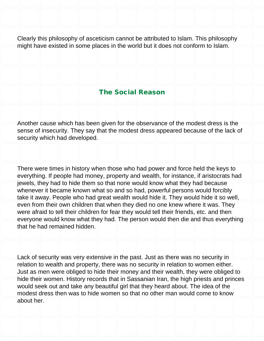Clearly this philosophy of asceticism cannot be attributed to Islam. This philosophy might have existed in some places in the world but it does not conform to Islam.

### The Social Reason

Another cause which has been given for the observance of the modest dress is the sense of insecurity. They say that the modest dress appeared because of the lack of security which had developed.

There were times in history when those who had power and force held the keys to everything. If people had money, property and wealth, for instance, if aristocrats had jewels, they had to hide them so that none would know what they had because whenever it became known what so and so had, powerful persons would forcibly take it away. People who had great wealth would hide it. They would hide it so well, even from their own children that when they died no one knew where it was. They were afraid to tell their children for fear they would tell their friends, etc. and then everyone would know what they had. The person would then die and thus everything that he had remained hidden.

Lack of security was very extensive in the past. Just as there was no security in relation to wealth and property, there was no security in relation to women either. Just as men were obliged to hide their money and their wealth, they were obliged to hide their women. History records that in Sassanian Iran, the high priests and princes would seek out and take any beautiful girl that they heard about. The idea of the modest dress then was to hide women so that no other man would come to know about her.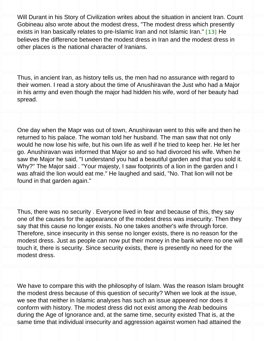Will Durant in his Story of Civilization writes about the situation in ancient Iran. Count Gobineau also wrote about the modest dress, "The modest dress which presently exists in Iran basically relates to pre-Islamic Iran and not Islamic Iran." [13] He believes the difference between the modest dress in Iran and the modest dress in other places is the national character of Iranians.

Thus, in ancient Iran, as history tells us, the men had no assurance with regard to their women. I read a story about the time of Anushiravan the Just who had a Major in his army and even though the major had hidden his wife, word of her beauty had spread.

One day when the Mapr was out of town, Anushiravan went to this wife and then he returned to his palace. The woman told her husband. The man saw that not only would he now lose his wife, but his own life as well if he tried to keep her. He let her go. Anushiravan was informed that Major so and so had divorced his wife. When he saw the Major he said, "I understand you had a beautiful garden and that you sold it. Why?" The Major said . "Your majesty, I saw footprints of a lion in the garden and I was afraid the lion would eat me." He laughed and said, "No. That lion will not be found in that garden again."

Thus, there was no security . Everyone lived in fear and because of this, they say one of the causes for the appearance of the modest dress was insecurity. Then they say that this cause no longer exists. No one takes another's wife through force. Therefore, since insecurity in this sense no longer exists, there is no reason for the modest dress. Just as people can now put their money in the bank where no one will touch it, there is security. Since security exists, there is presently no need for the modest dress.

We have to compare this with the philosophy of Islam. Was the reason Islam brought the modest dress because of this question of security? When we look at the issue, we see that neither in Islamic analyses has such an issue appeared nor does it conform with history. The modest dress did not exist among the Arab bedouins during the Age of Ignorance and, at the same time, security existed That is, at the same time that individual insecurity and aggression against women had attained the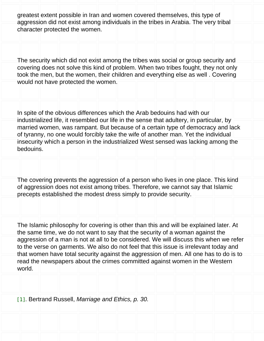greatest extent possible in Iran and women covered themselves, this type of aggression did not exist among individuals in the tribes in Arabia. The very tribal character protected the women.

The security which did not exist among the tribes was social or group security and covering does not solve this kind of problem. When two tribes fought, they not only took the men, but the women, their children and everything else as well . Covering would not have protected the women.

In spite of the obvious differences which the Arab bedouins had with our industrialized life, it resembled our life in the sense that adultery, in particular, by married women, was rampant. But because of a certain type of democracy and lack of tyranny, no one would forcibly take the wife of another man. Yet the individual insecurity which a person in the industrialized West sensed was lacking among the bedouins.

The covering prevents the aggression of a person who lives in one place. This kind of aggression does not exist among tribes. Therefore, we cannot say that Islamic precepts established the modest dress simply to provide security.

The Islamic philosophy for covering is other than this and will be explained later. At the same time, we do not want to say that the security of a woman against the aggression of a man is not at all to be considered. We will discuss this when we refer to the verse on garments. We also do not feel that this issue is irrelevant today and that women have total security against the aggression of men. All one has to do is to read the newspapers about the crimes committed against women in the Western world.

[1]. Bertrand Russell, Marriage and Ethics, p. 30.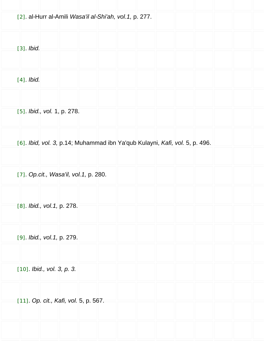| [2]. al-Hurr al-Amili Wasa'il al-Shi'ah, vol.1, p. 277.                     |
|-----------------------------------------------------------------------------|
| $[3]$ . Ibid.                                                               |
| $[4]$ . Ibid.                                                               |
| [5]. Ibid., vol. 1, p. 278.                                                 |
| [6]. Ibid, vol. 3, p.14; Muhammad ibn Ya'qub Kulayni, Kafi, vol. 5, p. 496. |
| [7]. Op.cit., Wasa'il, vol.1, p. 280.                                       |
| [8]. Ibid., vol. 1, p. 278.                                                 |
| [9]. Ibid., vol. 1, p. 279.                                                 |
| $[10]$ . Ibid., vol. 3, p. 3.                                               |
| [11]. Op. cit., Kafi, vol. 5, p. 567.                                       |
|                                                                             |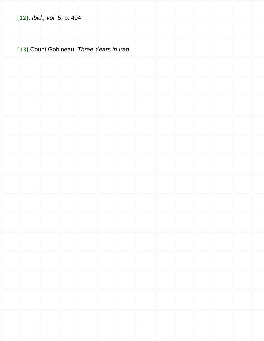## [13].Count Gobineau, Three Years in Iran.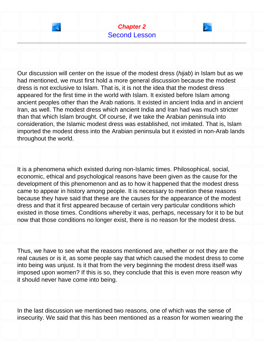<span id="page-28-0"></span>Our discussion will center on the issue of the modest dress (hijab) in Islam but as we had mentioned, we must first hold a more general discussion because the modest dress is not exclusive to Islam. That is, it is not the idea that the modest dress appeared for the first time in the world with Islam. It existed before Islam among ancient peoples other than the Arab nations. It existed in ancient India and in ancient Iran, as well. The modest dress which ancient India and Iran had was much stricter than that which Islam brought. Of course, if we take the Arabian peninsula into consideration, the Islamic modest dress was established, not imitated. That is, Islam imported the modest dress into the Arabian peninsula but it existed in non-Arab lands throughout the world.

It is a phenomena which existed during non-Islamic times. Philosophical, social, economic, ethical and psychological reasons have been given as the cause for the development of this phenomenon and as to how it happened that the modest dress came to appear in history among people. It is necessary to mention these reasons because they have said that these are the causes for the appearance of the modest dress and that it first appeared because of certain very particular conditions which existed in those times. Conditions whereby it was, perhaps, necessary for it to be but now that those conditions no longer exist, there is no reason for the modest dress.

Thus, we have to see what the reasons mentioned are, whether or not they are the real causes or is it, as some people say that which caused the modest dress to come into being was unjust. Is it that from the very beginning the modest dress itself was imposed upon women? If this is so, they conclude that this is even more reason why it should never have come into being.

In the last discussion we mentioned two reasons, one of which was the sense of insecurity. We said that this has been mentioned as a reason for women wearing the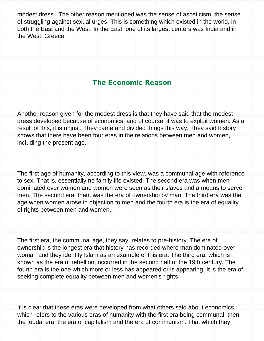modest dress . The other reason mentioned was the sense of asceticism, the sense of struggling against sexual urges. This is something which existed in the world, in both the East and the West. In the East, one of its largest centers was India and in the West, Greece.

#### The Economic Reason

<span id="page-29-0"></span>Another reason given for the modest dress is that they have said that the modest dress developed because of economics, and of course, it was to exploit women. As a result of this, it is unjust. They came and divided things this way. They said history shows that there have been four eras in the relations between men and women, including the present age.

The first age of humanity, according to this view, was a communal age with reference to sex. That is, essentially no family life existed. The second era was when men dominated over women and women were seen as their slaves and a means to serve men. The second era, then, was the era of ownership by man. The third era was the age when women arose in objection to men and the fourth era is the era of equality of rights between men and women.

The first era, the communal age, they say, relates to pre-history. The era of ownership is the longest era that history has recorded where man dominated over woman and they identify Islam as an example of this era. The third era, which is known as the era of rebellion, occurred in the second half of the 19th century. The fourth era is the one which more or less has appeared or is appearing. It is the era of seeking complete equality between men and women's rights.

It is clear that these eras were developed from what others said about economics which refers to the various eras of humanity with the first era being communal, then the feudal era, the era of capitalism and the era of communism. That which they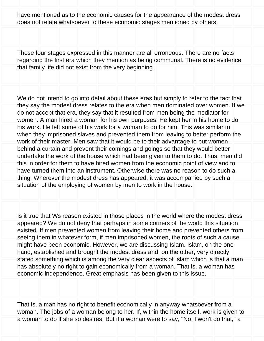have mentioned as to the economic causes for the appearance of the modest dress does not relate whatsoever to these economic stages mentioned by others.

These four stages expressed in this manner are all erroneous. There are no facts regarding the first era which they mention as being communal. There is no evidence that family life did not exist from the very beginning.

We do not intend to go into detail about these eras but simply to refer to the fact that they say the modest dress relates to the era when men dominated over women. If we do not accept that era, they say that it resulted from men being the mediator for women: A man hired a woman for his own purposes. He kept her in his home to do his work. He left some of his work for a woman to do for him. This was similar to when they imprisoned slaves and prevented them from leaving to better perform the work of their master. Men saw that it would be to their advantage to put women behind a curtain and prevent their comings and goings so that they would better undertake the work of the house which had been given to them to do. Thus, men did this in order for them to have hired women from the economic point of view and to have turned them into an instrument. Otherwise there was no reason to do such a thing. Wherever the modest dress has appeared, it was accompanied by such a situation of the employing of women by men to work in the house.

Is it true that Ws reason existed in those places in the world where the modest dress appeared? We do not deny that perhaps in some corners of the world this situation existed. If men prevented women from leaving their home and prevented others from seeing them in whatever form, if men imprisoned women, the roots of such a cause might have been economic. However, we are discussing Islam. Islam, on the one hand, established and brought the modest dress and, on the other, very directly stated something which is among the very clear aspects of Islam which is that a man has absolutely no right to gain economically from a woman. That is, a woman has economic independence. Great emphasis has been given to this issue.

That is, a man has no right to benefit economically in anyway whatsoever from a woman. The jobs of a woman belong to her. If, within the home itself, work is given to a woman to do if she so desires. But if a woman were to say, "No. I won't do that," a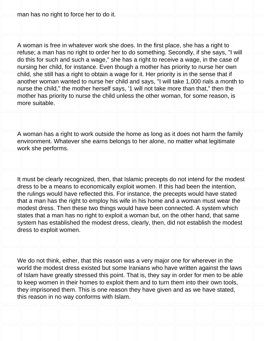A woman is free in whatever work she does. In the first place, she has a right to refuse; a man has no right to order her to do something. Secondly, if she says, "I will do this for such and such a wage," she has a right to receive a wage, in the case of nursing her child, for instance. Even though a mother has priority to nurse her own child, she still has a right to obtain a wage for it. Her priority is in the sense that if another woman wanted to nurse her child and says, "I will take 1,000 rials a month to nurse the child," the mother herself says, '1 will not take more than that," then the mother has priority to nurse the child unless the other woman, for some reason, is more suitable.

A woman has a right to work outside the home as long as it does not harm the family environment. Whatever she earns belongs to her alone, no matter what legitimate work she performs.

It must be clearly recognized, then, that Islamic precepts do not intend for the modest dress to be a means to economically exploit women. If this had been the intention, the rulings would have reflected this. For instance, the precepts would have stated that a man has the right to employ his wife in his home and a woman must wear the modest dress. Then these two things would have been connected. A system which states that a man has no right to exploit a woman but, on the other hand, that same system has established the modest dress, clearly, then, did not establish the modest dress to exploit women.

<span id="page-31-0"></span>We do not think, either, that this reason was a very major one for wherever in the world the modest dress existed but some Iranians who have written against the laws of Islam have greatly stressed this point. That is, they say in order for men to be able to keep women in their homes to exploit them and to turn them into their own tools, they imprisoned them. This is one reason they have given and as we have stated, this reason in no way conforms with Islam.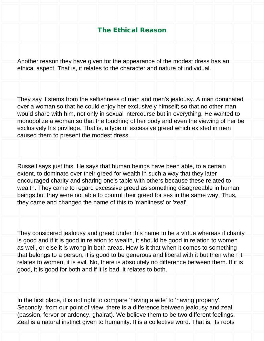#### The Ethical Reason

Another reason they have given for the appearance of the modest dress has an ethical aspect. That is, it relates to the character and nature of individual.

They say it stems from the selfishness of men and men's jealousy. A man dominated over a woman so that he could enjoy her exclusively himself; so that no other man would share with him, not only in sexual intercourse but in everything. He wanted to monopolize a woman so that the touching of her body and even the viewing of her be exclusively his privilege. That is, a type of excessive greed which existed in men caused them to present the modest dress.

Russell says just this. He says that human beings have been able, to a certain extent, to dominate over their greed for wealth in such a way that they later encouraged charity and sharing one's table with others because these related to wealth. They came to regard excessive greed as something disagreeable in human beings but they were not able to control their greed for sex in the same way. Thus, they came and changed the name of this to 'manliness' or 'zeal'.

They considered jealousy and greed under this name to be a virtue whereas if charity is good and if it is good in relation to wealth, it should be good in relation to women as well, or else it is wrong in both areas. How is it that when it comes to something that belongs to a person, it is good to be generous and liberal with it but then when it relates to women, it is evil. No, there is absolutely no difference between them. If it is good, it is good for both and if it is bad, it relates to both.

In the first place, it is not right to compare 'having a wife' to 'having property'. Secondly, from our point of view, there is a difference between jealousy and zeal (passion, fervor or ardency, ghairat). We believe them to be two different feelings. Zeal is a natural instinct given to humanity. It is a collective word. That is, its roots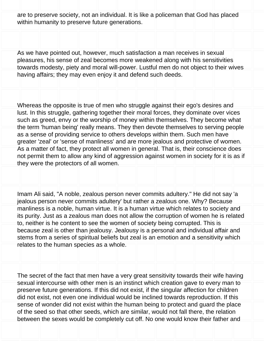are to preserve society, not an individual. It is like a policeman that God has placed within humanity to preserve future generations.

As we have pointed out, however, much satisfaction a man receives in sexual pleasures, his sense of zeal becomes more weakened along with his sensitivities towards modesty, piety and moral will-power. Lustful men do not object to their wives having affairs; they may even enjoy it and defend such deeds.

Whereas the opposite is true of men who struggle against their ego's desires and lust. In this struggle, gathering together their moral forces, they dominate over vices such as greed, envy or the worship of money within themselves. They become what the term 'human being' really means. They then devote themselves to serving people as a sense of providing service to others develops within them. Such men have greater 'zeal' or 'sense of manliness' and are more jealous and protective of women. As a matter of fact, they protect all women in general. That is, their conscience does not permit them to allow any kind of aggression against women in society for it is as if they were the protectors of all women.

Imam Ali said, "A noble, zealous person never commits adultery." He did not say 'a jealous person never commits adultery' but rather a zealous one. Why? Because manliness is a noble, human virtue. It is a human virtue which relates to society and its purity. Just as a zealous man does not allow the corruption of women he is related to, neither is he content to see the women of society being corrupted. This is because zeal is other than jealousy. Jealousy is a personal and individual affair and stems from a series of spiritual beliefs but zeal is an emotion and a sensitivity which relates to the human species as a whole.

The secret of the fact that men have a very great sensitivity towards their wife having sexual intercourse with other men is an instinct which creation gave to every man to preserve future generations. If this did not exist, if the singular affection for children did not exist, not even one individual would be inclined towards reproduction. If this sense of wonder did not exist within the human being to protect and guard the place of the seed so that other seeds, which are similar, would not fall there, the relation between the sexes would be completely cut off. No one would know their father and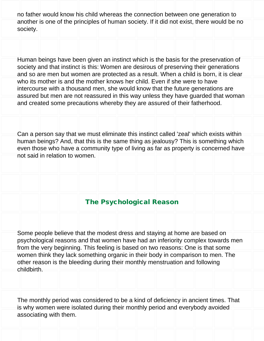no father would know his child whereas the connection between one generation to another is one of the principles of human society. If it did not exist, there would be no society.

Human beings have been given an instinct which is the basis for the preservation of society and that instinct is this: Women are desirous of preserving their generations and so are men but women are protected as a result. When a child is born, it is clear who its mother is and the mother knows her child. Even if she were to have intercourse with a thousand men, she would know that the future generations are assured but men are not reassured in this way unless they have guarded that woman and created some precautions whereby they are assured of their fatherhood.

Can a person say that we must eliminate this instinct called 'zeal' which exists within human beings? And, that this is the same thing as jealousy? This is something which even those who have a community type of living as far as property is concerned have not said in relation to women.

# The Psychological Reason

<span id="page-34-0"></span>Some people believe that the modest dress and staying at home are based on psychological reasons and that women have had an inferiority complex towards men from the very beginning. This feeling is based on two reasons: One is that some women think they lack something organic in their body in comparison to men. The other reason is the bleeding during their monthly menstruation and following childbirth.

The monthly period was considered to be a kind of deficiency in ancient times. That is why women were isolated during their monthly period and everybody avoided associating with them.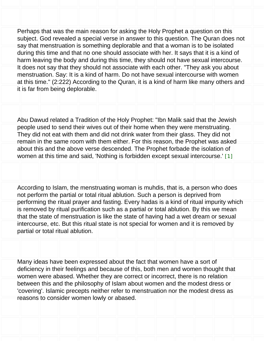Perhaps that was the main reason for asking the Holy Prophet a question on this subject. God revealed a special verse in answer to this question. The Quran does not say that menstruation is something deplorable and that a woman is to be isolated during this time and that no one should associate with her. It says that it is a kind of harm leaving the body and during this time, they should not have sexual intercourse. It does not say that they should not associate with each other. "They ask you about menstruation. Say: It is a kind of harm. Do not have sexual intercourse with women at this time." (2:222) According to the Quran, it is a kind of harm like many others and it is far from being deplorable.

Abu Dawud related a Tradition of the Holy Prophet: "Ibn Malik said that the Jewish people used to send their wives out of their home when they were menstruating. They did not eat with them and did not drink water from their glass. They did not remain in the same room with them either. For this reason, the Prophet was asked about this and the above verse descended. The Prophet forbade the isolation of women at this time and said, 'Nothing is forbidden except sexual intercourse.' [\[1\]](#page-40-0)

According to Islam, the menstruating woman is muhdis, that is, a person who does not perform the partial or total ritual ablution. Such a person is deprived from performing the ritual prayer and fasting. Every hadas is a kind of ritual impurity which is removed by ritual purification such as a partial or total ablution. By this we mean that the state of menstruation is like the state of having had a wet dream or sexual intercourse, etc. But this ritual state is not special for women and it is removed by partial or total ritual ablution.

Many ideas have been expressed about the fact that women have a sort of deficiency in their feelings and because of this, both men and women thought that women were abased. Whether they are correct or incorrect, there is no relation between this and the philosophy of Islam about women and the modest dress or 'covering'. Islamic precepts neither refer to menstruation nor the modest dress as reasons to consider women lowly or abased.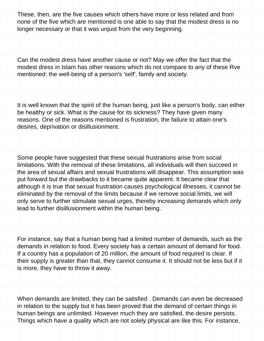These, then, are the five causes which others have more or less related and from none of the five which are mentioned is one able to say that the modest dress is no longer necessary or that it was unjust from the very beginning.

Can the modest dress have another cause or not? May we offer the fact that the modest dress in Islam has other reasons which do not compare to any of these Rve mentioned: the well-being of a person's 'self', family and society.

It is well known that the spirit of the human being, just like a person's body, can either be healthy or sick. What is the cause for its sickness? They have given many reasons. One of the reasons mentioned is frustration, the failure to attain one's desires, deprivation or disillusionment.

Some people have suggested that these sexual frustrations arise from social limitations. With the removal of these limitations, all individuals will then succeed in the area of sexual affairs and sexual frustrations will disappear. This assumption was put forward but the drawbacks to it became quite apparent. It became clear that although it is true that sexual frustration causes psychological illnesses, it cannot be eliminated by the removal of the limits because if we remove social limits, we will only serve to further stimulate sexual urges, thereby increasing demands which only lead to further disillusionment within the human being.

For instance, say that a human being had a limited number of demands, such as the demands in relation to food. Every society has a certain amount of demand for food. If a country has a population of 20 million, the amount of food required is clear. If their supply is greater than that, they cannot consume it. It should not be less but if it is more, they have to throw it away.

When demands are limited, they can be satisfied . Demands can even be decreased in relation to the supply but it has been proved that the demand of certain things in human beings are unlimited. However much they are satisfied, the desire persists. Things which have a quality which are not solely physical are like this. For instance,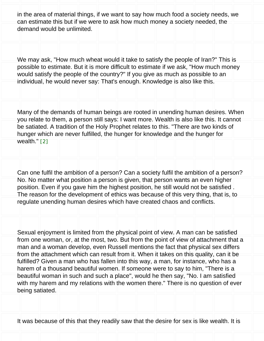in the area of material things, if we want to say how much food a society needs, we can estimate this but if we were to ask how much money a society needed, the demand would be unlimited.

We may ask, "How much wheat would it take to satisfy the people of Iran?" This is possible to estimate. But it is more difficult to estimate if we ask, "How much money would satisfy the people of the country?" If you give as much as possible to an individual, he would never say: That's enough. Knowledge is also like this.

Many of the demands of human beings are rooted in unending human desires. When you relate to them, a person still says: I want more. Wealth is also like this. It cannot be satiated. A tradition of the Holy Prophet relates to this. "There are two kinds of hunger which are never fulfilled, the hunger for knowledge and the hunger for wealth." [\[2\]](#page-41-0)

<span id="page-37-0"></span>Can one fulfil the ambition of a person? Can a society fulfil the ambition of a person? No. No matter what position a person is given, that person wants an even higher position. Even if you gave him the highest position, he still would not be satisfied . The reason for the development of ethics was because of this very thing, that is, to regulate unending human desires which have created chaos and conflicts.

Sexual enjoyment is limited from the physical point of view. A man can be satisfied from one woman, or, at the most, two. But from the point of view of attachment that a man and a woman develop, even Russell mentions the fact that physical sex differs from the attachment which can result from it. When it takes on this quality, can it be fulfilled? Given a man who has fallen into this way, a man, for instance, who has a harem of a thousand beautiful women. If someone were to say to him, "There is a beautiful woman in such and such a place", would he then say, "No. I am satisfied with my harem and my relations with the women there." There is no question of ever being satiated.

It was because of this that they readily saw that the desire for sex is like wealth. It is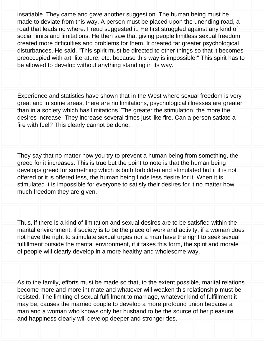insatiable. They came and gave another suggestion. The human being must be made to deviate from this way. A person must be placed upon the unending road, a road that leads no where. Freud suggested it. He first struggled against any kind of social limits and limitations. He then saw that giving people limitless sexual freedom created more difficulties and problems for them. It created far greater psychological disturbances. He said, "This spirit must be directed to other things so that it becomes preoccupied with art, literature, etc. because this way is impossible!" This spirit has to be allowed to develop without anything standing in its way.

Experience and statistics have shown that in the West where sexual freedom is very great and in some areas, there are no limitations, psychological illnesses are greater than in a society which has limitations. The greater the stimulation, the more the desires increase. They increase several times just like fire. Can a person satiate a fire with fuel? This clearly cannot be done.

They say that no matter how you try to prevent a human being from something, the greed for it increases. This is true but the point to note is that the human being develops greed for something which is both forbidden and stimulated but if it is not offered or it is offered less, the human being finds less desire for it. When it is stimulated it is impossible for everyone to satisfy their desires for it no matter how much freedom they are given.

Thus, if there is a kind of limitation and sexual desires are to be satisfied within the marital environment, if society is to be the place of work and activity, if a woman does not have the right to stimulate sexual urges nor a man have the right to seek sexual fulfillment outside the marital environment, if it takes this form, the spirit and morale of people will clearly develop in a more healthy and wholesome way.

As to the family, efforts must be made so that, to the extent possible, marital relations become more and more intimate and whatever will weaken this relationship must be resisted. The limiting of sexual fulfillment to marriage, whatever kind of fulfillment it may be, causes the married couple to develop a more profound union because a man and a woman who knows only her husband to be the source of her pleasure and happiness clearly will develop deeper and stronger ties.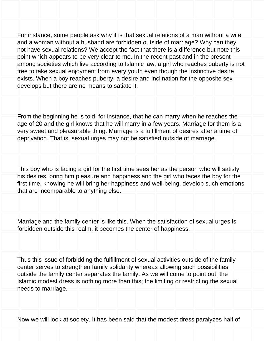For instance, some people ask why it is that sexual relations of a man without a wife and a woman without a husband are forbidden outside of marriage? Why can they not have sexual relations? We accept the fact that there is a difference but note this point which appears to be very clear to me. In the recent past and in the present among societies which live according to Islamic law, a girl who reaches puberty is not free to take sexual enjoyment from every youth even though the instinctive desire exists. When a boy reaches puberty, a desire and inclination for the opposite sex develops but there are no means to satiate it.

From the beginning he is told, for instance, that he can marry when he reaches the age of 20 and the girl knows that he will marry in a few years. Marriage for them is a very sweet and pleasurable thing. Marriage is a fulfillment of desires after a time of deprivation. That is, sexual urges may not be satisfied outside of marriage.

This boy who is facing a girl for the first time sees her as the person who will satisfy his desires, bring him pleasure and happiness and the girl who faces the boy for the first time, knowing he will bring her happiness and well-being, develop such emotions that are incomparable to anything else.

Marriage and the family center is like this. When the satisfaction of sexual urges is forbidden outside this realm, it becomes the center of happiness.

Thus this issue of forbidding the fulfillment of sexual activities outside of the family center serves to strengthen family solidarity whereas allowing such possibilities outside the family center separates the family. As we will come to point out, the Islamic modest dress is nothing more than this; the limiting or restricting the sexual needs to marriage.

Now we will look at society. It has been said that the modest dress paralyzes half of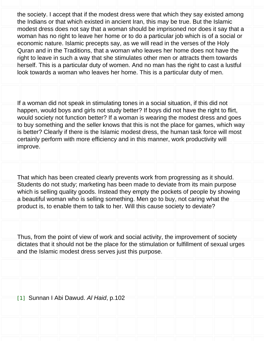the society. I accept that if the modest dress were that which they say existed among the Indians or that which existed in ancient Iran, this may be true. But the Islamic modest dress does not say that a woman should be imprisoned nor does it say that a woman has no right to leave her home or to do a particular job which is of a social or economic nature. Islamic precepts say, as we will read in the verses of the Holy Quran and in the Traditions, that a woman who leaves her home does not have the right to leave in such a way that she stimulates other men or attracts them towards herself. This is a particular duty of women. And no man has the right to cast a lustful look towards a woman who leaves her home. This is a particular duty of men.

If a woman did not speak in stimulating tones in a social situation, if this did not happen, would boys and girls not study better? If boys did not have the right to flirt, would society not function better? If a woman is wearing the modest dress and goes to buy something and the seller knows that this is not the place for games, which way is better? Clearly if there is the Islamic modest dress, the human task force will most certainly perform with more efficiency and in this manner, work productivity will improve.

That which has been created clearly prevents work from progressing as it should. Students do not study; marketing has been made to deviate from its main purpose which is selling quality goods. Instead they empty the pockets of people by showing a beautiful woman who is selling something. Men go to buy, not caring what the product is, to enable them to talk to her. Will this cause society to deviate?

Thus, from the point of view of work and social activity, the improvement of society dictates that it should not be the place for the stimulation or fulfillment of sexual urges and the Islamic modest dress serves just this purpose.

#### [\[1\]](#page-35-0) Sunnan I Abi Dawud. Al Haid, p.102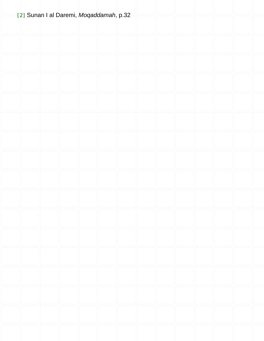<span id="page-41-0"></span>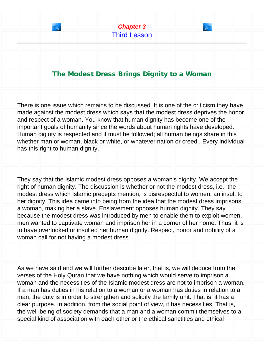

## The Modest Dress Brings Dignity to a Woman

There is one issue which remains to be discussed. It is one of the criticism they have made against the modest dress which says that the modest dress deprives the honor and respect of a woman. You know that human dignity has become one of the important goals of humanity since the words about human rights have developed. Human digluty is respected and it must be followed; all human beings share in this whether man or woman, black or white, or whatever nation or creed . Every individual has this right to human dignity.

They say that the Islamic modest dress opposes a woman's dignity. We accept the right of human dignity. The discussion is whether or not the modest dress, i.e., the modest dress which Islamic precepts mention, is disrespectful to women, an insult to her dignity. This idea came into being from the idea that the modest dress imprisons a woman, making her a slave. Enslavement opposes human dignity. They say because the modest dress was introduced by men to enable them to exploit women, men wanted to captivate woman and imprison her in a corner of her home. Thus, it is to have overlooked or insulted her human dignity. Respect, honor and nobility of a woman call for not having a modest dress.

As we have said and we will further describe later, that is, we will deduce from the verses of the Holy Quran that we have nothing which would serve to imprison a woman and the necessities of the Islamic modest dress are not to imprison a woman. If a man has duties in his relation to a woman or a woman has duties in relation to a man, the duty is in order to strengthen and solidify the family unit. That is, it has a clear purpose. In addition, from the social point of view, it has necessities. That is, the well-being of society demands that a man and a woman commit themselves to a special kind of association with each other or the ethical sanctities and ethical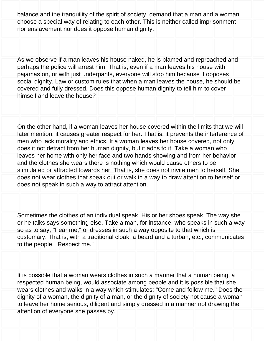balance and the tranquility of the spirit of society, demand that a man and a woman choose a special way of relating to each other. This is neither called imprisonment nor enslavement nor does it oppose human dignity.

As we observe if a man leaves his house naked, he is blamed and reproached and perhaps the police will arrest him. That is, even if a man leaves his house with pajamas on, or with just underpants, everyone will stop him because it opposes social dignity. Law or custom rules that when a man leaves the house, he should be covered and fully dressed. Does this oppose human dignity to tell him to cover himself and leave the house?

On the other hand, if a woman leaves her house covered within the limits that we will later mention, it causes greater respect for her. That is, it prevents the interference of men who lack morality and ethics. It a woman leaves her house covered, not only does it not detract from her human dignity, but it adds to it. Take a woman who leaves her home with only her face and two hands showing and from her behavior and the clothes she wears there is nothing which would cause others to be stimulated or attracted towards her. That is, she does not invite men to herself. She does not wear clothes that speak out or walk in a way to draw attention to herself or does not speak in such a way to attract attention.

Sometimes the clothes of an individual speak. His or her shoes speak. The way she or he talks says something else. Take a man, for instance, who speaks in such a way so as to say, "Fear me," or dresses in such a way opposite to that which is customary. That is, with a traditional cloak, a beard and a turban, etc., communicates to the people, "Respect me."

It is possible that a woman wears clothes in such a manner that a human being, a respected human being, would associate among people and it is possible that she wears clothes and walks in a way which stimulates; "Come and follow me." Does the dignity of a woman, the dignity of a man, or the dignity of society not cause a woman to leave her home serious, diligent and simply dressed in a manner not drawing the attention of everyone she passes by.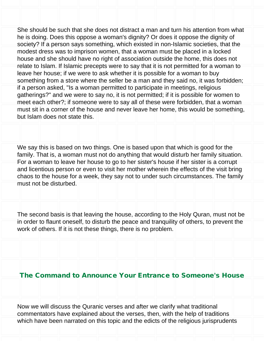She should be such that she does not distract a man and turn his attention from what he is doing. Does this oppose a woman's dignity? Or does it oppose the dignity of society? If a person says something, which existed in non-Islamic societies, that the modest dress was to imprison women, that a woman must be placed in a locked house and she should have no right of association outside the home, this does not relate to Islam. If Islamic precepts were to say that it is not permitted for a woman to leave her house; if we were to ask whether it is possible for a woman to buy something from a store where the seller be a man and they said no, it was forbidden; if a person asked, "Is a woman permitted to participate in meetings, religious gatherings?" and we were to say no, it is not permitted; if it is possible for women to meet each other?; if someone were to say all of these were forbidden, that a woman must sit in a corner of the house and never leave her home, this would be something, but Islam does not state this.

We say this is based on two things. One is based upon that which is good for the family. That is, a woman must not do anything that would disturb her family situation. For a woman to leave her house to go to her sister's house if her sister is a corrupt and licentious person or even to visit her mother wherein the effects of the visit bring chaos to the house for a week, they say not to under such circumstances. The family must not be disturbed.

The second basis is that leaving the house, according to the Holy Quran, must not be in order to flaunt oneself, to disturb the peace and tranquility of others, to prevent the work of others. If it is not these things, there is no problem.

## The Command to Announce Your Entrance to Someone's House

Now we will discuss the Quranic verses and after we clarify what traditional commentators have explained about the verses, then, with the help of traditions which have been narrated on this topic and the edicts of the religious jurisprudents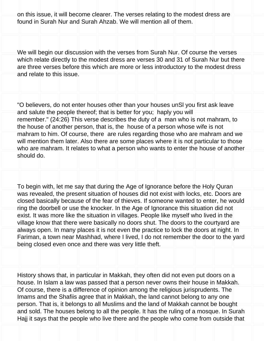on this issue, it will become clearer. The verses relating to the modest dress are found in Surah Nur and Surah Ahzab. We will mention all of them.

We will begin our discussion with the verses from Surah Nur. Of course the verses which relate directly to the modest dress are verses 30 and 31 of Surah Nur but there are three verses before this which are more or less introductory to the modest dress and relate to this issue.

"O believers, do not enter houses other than your houses unSl you first ask leave and salute the people thereof; that is better for you; haply you will remember." (24:26) This verse describes the duty of a man who is not mahram, to the house of another person, that is, the house of a person whose wife is not mahram to him. Of course, there are rules regarding those who are mahram and we will mention them later. Also there are some places where it is not particular to those who are mahram. It relates to what a person who wants to enter the house of another should do.

To begin with, let me say that during the Age of Ignorance before the Holy Quran was revealed, the present situation of houses did not exist with locks, etc. Doors are closed basically because of the fear of thieves. If someone wanted to enter, he would ring the doorbell or use the knocker. In the Age of Ignorance this situation did not exist. It was more like the situation in villages. People like myself who lived in the village know that there were basically no doors shut. The doors to the courtyard are always open. In many places it is not even the practice to lock the doors at night. In Fariman, a town near Mashhad, where I lived, I do not remember the door to the yard being closed even once and there was very little theft.

History shows that, in particular in Makkah, they often did not even put doors on a house. In Islam a law was passed that a person never owns their house in Makkah. Of course, there is a difference of opinion among the religious jurisprudents. The Imams and the Shafiis agree that in Makkah, the land cannot belong to any one person. That is, it belongs to all Muslims and the land of Makkah cannot be bought and sold. The houses belong to all the people. It has the ruling of a mosque. In Surah Hajj it says that the people who live there and the people who come from outside that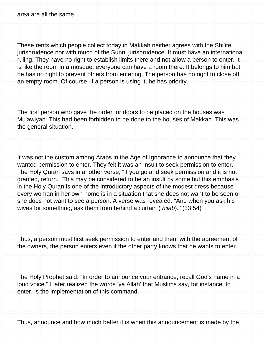These rents which people collect today in Makkah neither agrees with the Shi'ite jurisprudence nor with much of the Sunni jurisprudence. It must have an international ruling. They have no right to establish limits there and not allow a person to enter. It is like the room in a mosque, everyone can have a room there. It belongs to him but he has no right to prevent others from entering. The person has no right to close off an empty room. Of course, if a person is using it, he has priority.

The first person who gave the order for doors to be placed on the houses was Mu'awiyah. This had been forbidden to be done to the houses of Makkah. This was the general situation.

It was not the custom among Arabs in the Age of Ignorance to announce that they wanted permission to enter. They felt it was an insult to seek permission to enter. The Holy Quran says in another verse, "If you go and seek permission and it is not granted, return." This may be considered to be an insult by some but this emphasis in the Holy Quran is one of the introductory aspects of the modest dress because every woman in her own home is in a situation that she does not want to be seen or she does not want to see a person. A verse was revealed. "And when you ask his wives for something, ask them from behind a curtain ( hijab). "(33:54)

Thus, a person must first seek permission to enter and then, with the agreement of the owners, the person enters even if the other party knows that he wants to enter.

The Holy Prophet said: "In order to announce your entrance, recall God's name in a loud voice." I later realized the words 'ya Allah' that Muslims say, for instance, to enter, is the implementation of this command.

Thus, announce and how much better it is when this announcement is made by the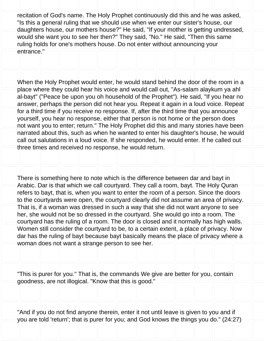recitation of God's name. The Holy Prophet continuously did this and he was asked, "Is this a general ruling that we should use when we enter our sister's house, our daughters house, our mothers house?" He said, "If your mother is getting undressed, would she want you to see her then?" They said, "No." He said, "Then this same ruling holds for one's mothers house. Do not enter without announcing your entrance."

When the Holy Prophet would enter, he would stand behind the door of the room in a place where they could hear his voice and would call out, "As-salam alaykum ya ahl al-bayt" ("Peace be upon you oh household of the Prophet"). He said, "If you hear no answer, perhaps the person did not hear you. Repeat it again in a loud voice. Repeat for a third time if you receive no response. If, after the third time that you announce yourself, you hear no response, either that person is not home or the person does not want you to enter; return." The Holy Prophet did this and many stories have been narrated about this, such as when he wanted to enter his daughter's house, he would call out salutations in a loud voice. If she responded, he would enter. If he called out three times and received no response, he would return.

There is something here to note which is the difference between dar and bayt in Arabic. Dar is that which we call courtyard. They call a room, bayt. The Holy Quran refers to bayt, that is, when you want to enter the room of a person. Since the doors to the courtyards were open, the courtyard clearly did not assume an area of privacy. That is, if a woman was dressed in such a way that she did not want anyone to see her, she would not be so dressed in the courtyard. She would go into a room. The courtyard has the ruling of a room. The door is closed and it normally has high walls. Women still consider the courtyard to be, to a certain extent, a place of privacy. Now dar has the ruling of bayt because bayt basically means the place of privacy where a woman does not want a strange person to see her.

"This is purer for you." That is, the commands We give are better for you, contain goodness, are not illogical. "Know that this is good."

"And if you do not find anyone therein, enter it not until leave is given to you and if you are told 'return'; that is purer for you; and God knows the things you do." (24:27)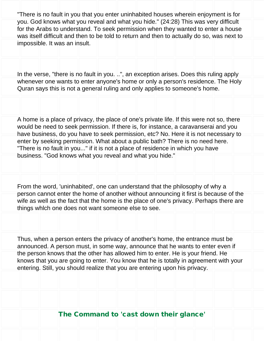"There is no fault in you that you enter uninhabited houses wherein enjoyment is for you. God knows what you reveal and what you hide." (24:28) This was very difficult for the Arabs to understand. To seek permission when they wanted to enter a house was itself difficult and then to be told to return and then to actually do so, was next to impossible. It was an insult.

In the verse, "there is no fault in you. ..", an exception arises. Does this ruling apply whenever one wants to enter anyone's home or only a person's residence. The Holy Quran says this is not a general ruling and only applies to someone's home.

A home is a place of privacy, the place of one's private life. If this were not so, there would be need to seek permission. If there is, for instance, a caravanserai and you have business, do you have to seek permission, etc? No. Here it is not necessary to enter by seeking permission. What about a public bath? There is no need here. "There is no fault in you..." if it is not a place of residence in which you have business. "God knows what you reveal and what you hide."

From the word, 'uninhabited', one can understand that the philosophy of why a person cannot enter the home of another without announcing it first is because of the wife as well as the fact that the home is the place of one's privacy. Perhaps there are things whlch one does not want someone else to see.

Thus, when a person enters the privacy of another's home, the entrance must be announced. A person must, in some way, announce that he wants to enter even if the person knows that the other has allowed him to enter. He is your friend. He knows that you are going to enter. You know that he is totally in agreement with your entering. Still, you should realize that you are entering upon his privacy.

## The Command to 'cast down their glance'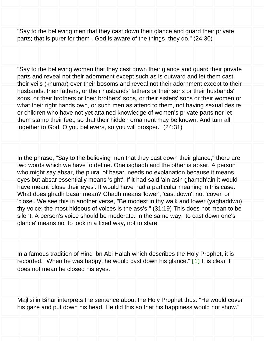"Say to the believing men that they cast down their glance and guard their private parts; that is purer for them . God is aware of the things they do." (24:30)

"Say to the believing women that they cast down their glance and guard their private parts and reveal not their adornment except such as is outward and let them cast their veils (khumar) over their bosoms and reveal not their adornment except to their husbands, their fathers, or their husbands' fathers or their sons or their husbands' sons, or their brothers or their brothers' sons, or their sisters' sons or their women or what their right hands own, or such men as attend to them, not having sexual desire, or children who have not yet attained knowledge of women's private parts nor let them stamp their feet, so that their hidden ornament may be known. And turn all together to God, O you believers, so you will prosper." (24:31)

In the phrase, "Say to the believing men that they cast down their glance," there are two words which we have to define. One isghadh and the other is absar. A person who might say absar, the plural of basar, needs no explanation because it means eyes but absar essentially means 'sight'. If it had said 'ain asin ghamdh'ain it would have meant 'close their eyes'. It would have had a particular meaning in this case. What does ghadh basar mean? Ghadh means 'lower', 'cast down', not 'cover' or 'close'. We see this in another verse, "Be modest in thy walk and lower (yaghaddwu) thy voice; the most hideous of voices is the ass's." (31:19) This does not mean to be silent. A person's voice should be moderate. In the same way, 'to cast down one's glance' means not to look in a fixed way, not to stare.

<span id="page-49-0"></span>In a famous tradition of Hind ibn Abi Halah which describes the Holy Prophet, it is recorded, "When he was happy, he would cast down his glance." [\[1\]](#page-51-0) It is clear it does not mean he closed his eyes.

Majlisi in Bihar interprets the sentence about the Holy Prophet thus: "He would cover his gaze and put down his head. He did this so that his happiness would not show."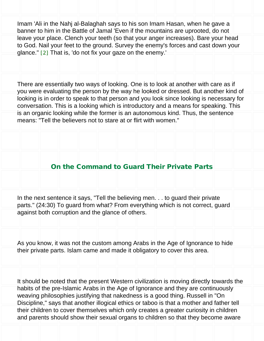Imam 'Ali in the Nahj al-Balaghah says to his son Imam Hasan, when he gave a banner to him in the Battle of Jamal 'Even if the mountains are uprooted, do not leave your place. Clench your teeth (so that your anger increases). Bare your head to God. Nail your feet to the ground. Survey the enemy's forces and cast down your glance." [\[2\]](#page-51-1) That is, 'do not fix your gaze on the enemy.'

<span id="page-50-0"></span>There are essentially two ways of looking. One is to look at another with care as if you were evaluating the person by the way he looked or dressed. But another kind of looking is in order to speak to that person and you look since looking is necessary for conversation. This is a looking which is introductory and a means for speaking. This is an organic looking while the former is an autonomous kind. Thus, the sentence means: "Tell the believers not to stare at or flirt with women."

## On the Command to Guard Their Private Parts

In the next sentence it says, "Tell the believing men. . . to guard their private parts." (24:30) To guard from what? From everything which is not correct, guard against both corruption and the glance of others.

As you know, it was not the custom among Arabs in the Age of Ignorance to hide their private parts. Islam came and made it obligatory to cover this area.

It should be noted that the present Western civilization is moving directly towards the habits of the pre-Islamic Arabs in the Age of Ignorance and they are continuously weaving philosophies justifying that nakedness is a good thing. Russell in "On Discipline," says that another illogical ethics or taboo is that a mother and father tell their children to cover themselves which only creates a greater curiosity in children and parents should show their sexual organs to children so that they become aware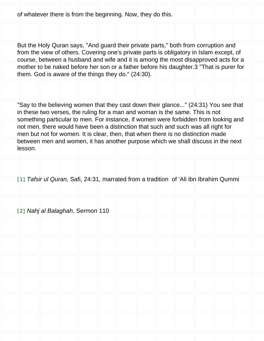of whatever there is from the beginning. Now, they do this.

But the Holy Quran says, "And guard their private parts," both from corruption and from the view of others. Covering one's private parts is obligatory in Islam except, of course, between a husband and wife and it is among the most disapproved acts for a mother to be naked before her son or a father before his daughter.3 "That is purer for them. God is aware of the things they do." (24:30).

"Say to the believing women that they cast down their glance..." (24:31) You see that in these two verses, the ruling for a man and woman is the same. This is not something particular to men. For instance, if women were forbidden from looking and not men, there would have been a distinction that such and such was all right for men but not for women. It is clear, then, that when there is no distinction made between men and women, it has another purpose which we shall discuss in the next lesson.

<span id="page-51-0"></span>[\[1\]](#page-49-0) Tafsir ul Quran, Safi, 24:31, marrated from a tradition of 'Ali ibn Ibrahim Qummi

<span id="page-51-1"></span>[\[2\]](#page-50-0) Nahj al Balaghah, Sermon 110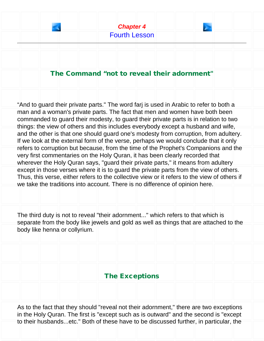

### The Command "not to reveal their adornment"

"And to guard their private parts." The word farj is used in Arabic to refer to both a man and a woman's private parts. The fact that men and women have both been commanded to guard their modesty, to guard their private parts is in relation to two things: the view of others and this includes everybody except a husband and wife, and the other is that one should guard one's modesty from corruption, from adultery. If we look at the external form of the verse, perhaps we would conclude that it only refers to corruption but because, from the time of the Prophet's Companions and the very first commentaries on the Holy Quran, it has been clearly recorded that wherever the Holy Quran says, "guard their private parts," it means from adultery except in those verses where it is to guard the private parts from the view of others. Thus, this verse, either refers to the collective view or it refers to the view of others if we take the traditions into account. There is no difference of opinion here.

The third duty is not to reveal "their adornment..." which refers to that which is separate from the body like jewels and gold as well as things that are attached to the body like henna or collyrium.

## The Exceptions

As to the fact that they should "reveal not their adornment," there are two exceptions in the Holy Quran. The first is "except such as is outward" and the second is "except to their husbands...etc." Both of these have to be discussed further, in particular, the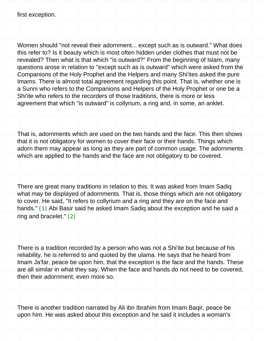Women should "not reveal their adornment... except such as is outward." What does this refer to? Is it beauty which is most often hidden under clothes that must not be revealed? Then what is that which "is outward?" From the beginning of Islam, many questions arose in relation to "except such as is outward" which were asked from the Companions of the Holy Prophet and the Helpers and many Shi'ites asked the pure Imams. There is almost total agreement regarding this point. That is, whether one is a Sunni who refers to the Companions and Helpers of the Holy Prophet or one be a Shi'ite who refers to the recorders of those traditions, there is more or less agreement that which "is outward" is collyrium, a ring and, in some, an anklet.

That is, adornments which are used on the two hands and the face. This then shows that it is not obligatory for women to cover their face or their hands. Things which adorn them may appear as long as they are part of common usage. The adornments which are applied to the hands and the face are not obligatory to be covered.

<span id="page-53-0"></span>There are great many traditions in relation to this. It was asked from Imam Sadiq what may be displayed of adornments. That is, those things which are not obligatory to cover. He said, "It refers to collyrium and a ring and they are on the face and hands." [\[1\]](#page-59-0) Abi Basir said he asked Imam Sadiq about the exception and he said a ring and bracelet." [\[2\]](#page-59-1)

<span id="page-53-1"></span>There is a tradition recorded by a person who was not a Shi'ite but because of his reliability, he is referred to and quoted by the ulama. He says that he heard from Imam Ja'far, peace be upon him, that the exception is the face and the hands. These are all similar in what they say. When the face and hands do not need to be covered, then their adornment, even more so.

There is another tradition narrated by Ali ibn Ibrahim from Imam Baqir, peace be upon him. He was asked about this exception and he said it includes a woman's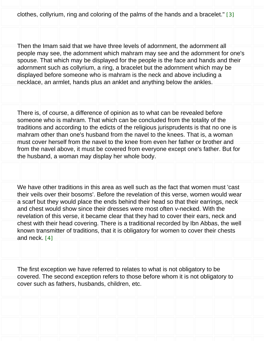<span id="page-54-0"></span>clothes, collyrium, ring and coloring of the palms of the hands and a bracelet." [\[3\]](#page-59-2)

Then the Imam said that we have three levels of adornment, the adornment all people may see, the adornment which mahram may see and the adornment for one's spouse. That which may be displayed for the people is the face and hands and their adornment such as collyrium, a ring, a bracelet but the adornment which may be displayed before someone who is mahram is the neck and above including a necklace, an armlet, hands plus an anklet and anything below the ankles.

There is, of course, a difference of opinion as to what can be revealed before someone who is mahram. That which can be concluded from the totality of the traditions and according to the edicts of the religious jurisprudents is that no one is mahram other than one's husband from the navel to the knees. That is, a woman must cover herself from the navel to the knee from even her father or brother and from the navel above, it must be covered from everyone except one's father. But for the husband, a woman may display her whole body.

We have other traditions in this area as well such as the fact that women must 'cast their veils over their bosoms'. Before the revelation of this verse, women would wear a scarf but they would place the ends behind their head so that their earrings, neck and chest would show since their dresses were most often v-necked. With the revelation of this verse, it became clear that they had to cover their ears, neck and chest with their head covering. There is a traditional recorded by Ibn Abbas, the well known transmitter of traditions, that it is obligatory for women to cover their chests and neck. [\[4\]](#page-60-0)

<span id="page-54-1"></span>The first exception we have referred to relates to what is not obligatory to be covered. The second exception refers to those before whom it is not obligatory to cover such as fathers, husbands, children, etc.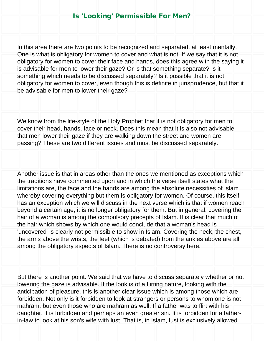#### Is 'Looking' Permissible For Men?

In this area there are two points to be recognized and separated, at least mentally. One is what is obligatory for women to cover and what is not. If we say that it is not obligatory for women to cover their face and hands, does this agree with the saying it is advisable for men to lower their gaze? Or is that something separate? Is it something which needs to be discussed separately? Is it possible that it is not obligatory for women to cover, even though this is definite in jurisprudence, but that it be advisable for men to lower their gaze?

We know from the life-style of the Holy Prophet that it is not obligatory for men to cover their head, hands, face or neck. Does this mean that it is also not advisable that men lower their gaze if they are walking down the street and women are passing? These are two different issues and must be discussed separately.

Another issue is that in areas other than the ones we mentioned as exceptions which the traditions have commented upon and in which the verse itself states what the limitations are, the face and the hands are among the absolute necessities of Islam whereby covering everything but them is obligatory for women. Of course, this itself has an exception which we will discuss in the next verse which is that if women reach beyond a certain age, it is no longer obligatory for them. But in general, covering the hair of a woman is among the compulsory precepts of Islam. It is clear that much of the hair which shows by which one would conclude that a woman's head is 'uncovered' is clearly not permissible to show in Islam. Covering the neck, the chest, the arms above the wrists, the feet (which is debated) from the ankles above are all among the obligatory aspects of Islam. There is no controversy here.

But there is another point. We said that we have to discuss separately whether or not lowering the gaze is advisable. If the look is of a flirting nature, looking with the anticipation of pleasure, this is another clear issue which is among those which are forbidden. Not only is it forbidden to look at strangers or persons to whom one is not mahram, but even those who are mahram as well. If a father was to flirt with his daughter, it is forbidden and perhaps an even greater sin. It is forbidden for a fatherin-law to look at his son's wife with lust. That is, in Islam, lust is exclusively allowed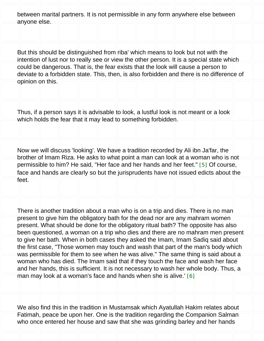between marital partners. It is not permissible in any form anywhere else between anyone else.

But this should be distinguished from riba' which means to look but not with the intention of lust nor to really see or view the other person. It is a special state which could be dangerous. That is, the fear exists that the look will cause a person to deviate to a forbidden state. This, then, is also forbidden and there is no difference of opinion on this.

Thus, if a person says it is advisable to look, a lustful look is not meant or a look which holds the fear that it may lead to something forbidden.

<span id="page-56-0"></span>Now we will discuss 'looking'. We have a tradition recorded by Ali ibn Ja'far, the brother of Imam Riza. He asks to what point a man can look at a woman who is not permissible to him? He said, "Her face and her hands and her feet." [\[5\]](#page-60-1) Of course, face and hands are clearly so but the jurisprudents have not issued edicts about the feet.

There is another tradition about a man who is on a trip and dies. There is no man present to give him the obligatory bath for the dead nor are any mahram women present. What should be done for the obligatory ritual bath? The opposite has also been questioned, a woman on a trip who dies and there are no mahram men present to give her bath. When in both cases they asked the Imam, Imam Sadiq said about the first case, "Those women may touch and wash that part of the man's body which was permissible for them to see when he was alive." The same thing is said about a woman who has died. The Imam said that if they touch the face and wash her face and her hands, this is sufficient. It is not necessary to wash her whole body. Thus, a man may look at a woman's face and hands when she is alive.' [\[6\]](#page-60-2)

<span id="page-56-1"></span>We also find this in the tradition in Mustamsak which Ayatullah Hakim relates about Fatimah, peace be upon her. One is the tradition regarding the Companion Salman who once entered her house and saw that she was grinding barley and her hands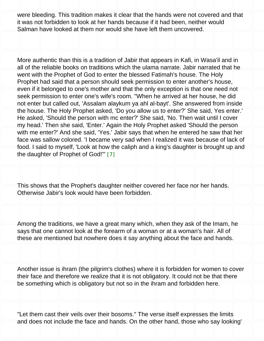were bleeding. This tradition makes it clear that the hands were not covered and that it was not forbidden to look at her hands because if it had been, neither would Salman have looked at them nor would she have left them uncovered.

More authentic than this is a tradition of Jabir that appears in Kafi, in Wasa'il and in all of the reliable books on traditions which the ulama narrate. Jabir narrated that he went with the Prophet of God to enter the blessed Fatimah's house. The Holy Prophet had said that a person should seek permission to enter another's house, even if it belonged to one's mother and that the only exception is that one need not seek permission to enter one's wife's room. "When he arrived at her house, he did not enter but called out, 'Assalam alaykum ya ahl al-bayt'. She answered from inside the house. The Holy Prophet asked, 'Do you allow us to enter?' She said, Yes enter.' He asked, 'Should the person with mc enter?' She said, 'No. Then wait until I cover my head.' Then she said, 'Enter.' Again the Holy Prophet asked 'Should the person with me enter?' And she said, 'Yes.' Jabir says that when he entered he saw that her face was sallow colored. 'I became very sad when I realized it was because of lack of food. I said to myself, 'Look at how the caliph and a king's daughter is brought up and the daughter of Prophet of God!"' [\[7\]](#page-60-3)

<span id="page-57-0"></span>This shows that the Prophet's daughter neither covered her face nor her hands. Otherwise Jabir's look would have been forbidden.

Among the traditions, we have a great many which, when they ask of the Imam, he says that one cannot look at the forearm of a woman or at a woman's hair. All of these are mentioned but nowhere does it say anything about the face and hands.

Another issue is ihram (the pilgrim's clothes) where it is forbidden for women to cover their face and therefore we realize that it is not obligatory. It could not be that there be something which is obligatory but not so in the ihram and forbidden here.

"Let them cast their veils over their bosoms." The verse itself expresses the limits and does not include the face and hands. On the other hand, those who say looking'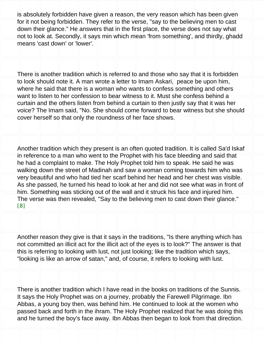is absolutely forbidden have given a reason, the very reason which has been given for it not being forbidden. They refer to the verse, "say to the believing men to cast down their glance." He answers that in the first place, the verse does not say what not to look at. Secondly, it says min which mean 'from something', and thirdly, ghadd means 'cast down' or 'lower'.

There is another tradition which is referred to and those who say that it is forbidden to look should note it. A man wrote a letter to Imam Askari, peace be upon him, where he said that there is a woman who wants to confess something and others want to listen to her confession to bear witness to it. Must she confess behind a curtain and the others listen from behind a curtain to then justly say that it was her voice? The Imam said, "No. She should come forward to bear witness but she should cover herself so that only the roundness of her face shows.

Another tradition which they present is an often quoted tradition. It is called Sa'd Iskaf in reference to a man who went to the Prophet with his face bleeding and said that he had a complaint to make. The Holy Prophet told him to speak. He said he was walking down the street of Madinah and saw a woman coming towards him who was very beautiful and who had tied her scarf behind her head and her chest was visible. As she passed, he turned his head to look at her and did not see what was in front of him. Something was sticking out of the wall and it struck his face and injured him. The verse was then revealed, "Say to the believing men to cast down their glance." [\[8\]](#page-60-4)

<span id="page-58-0"></span>Another reason they give is that it says in the traditions, "Is there anything which has not committed an illicit act for the illicit act of the eyes is to look?" The answer is that this is referring to looking with lust, not just looking; like the tradition which says, "looking is like an arrow of satan," and, of course, it refers to looking with lust.

There is another tradition which I have read in the books on traditions of the Sunnis. It says the Holy Prophet was on a journey, probably the Farewell Pilgrimage. Ibn Abbas, a young boy then, was behind him. He continued to look at the women who passed back and forth in the ihram. The Holy Prophet realized that he was doing this and he turned the boy's face away. Ibn Abbas then began to look from that direction.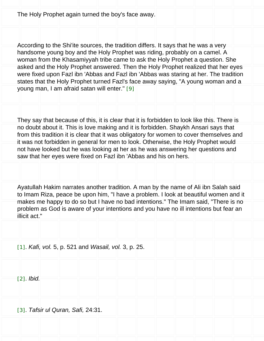The Holy Prophet again turned the boy's face away.

According to the Shi'ite sources, the tradition differs. It says that he was a very handsome young boy and the Holy Prophet was riding, probably on a camel. A woman from the Khasamiyyah tribe came to ask the Holy Prophet a question. She asked and the Holy Prophet answered. Then the Holy Prophet realized that her eyes were fixed upon Fazl ibn 'Abbas and Fazl ibn 'Abbas was staring at her. The tradition states that the Holy Prophet turned Fazl's face away saying, "A young woman and a young man, I am afraid satan will enter." [\[9\]](#page-60-5)

<span id="page-59-3"></span>They say that because of this, it is clear that it is forbidden to look like this. There is no doubt about it. This is love making and it is forbidden. Shaykh Ansari says that from this tradition it is clear that it was obligatory for women to cover themselves and it was not forbidden in general for men to look. Otherwise, the Holy Prophet would not have looked but he was looking at her as he was answering her questions and saw that her eyes were fixed on Fazl ibn 'Abbas and his on hers.

Ayatullah Hakim narrates another tradition. A man by the name of Ali ibn Salah said to Imam Riza, peace be upon him, "I have a problem. I look at beautiful women and it makes me happy to do so but I have no bad intentions." The Imam said, "There is no problem as God is aware of your intentions and you have no ill intentions but fear an illicit act."

<span id="page-59-0"></span>[\[1\]](#page-53-0). Kafi, vol. 5, p. 521 and Wasail, vol. 3, p. 25.

<span id="page-59-1"></span>[\[2\]](#page-53-1). Ibid.

<span id="page-59-2"></span>[\[3\]](#page-54-0). Tafsir ul Quran, Safi, 24:31.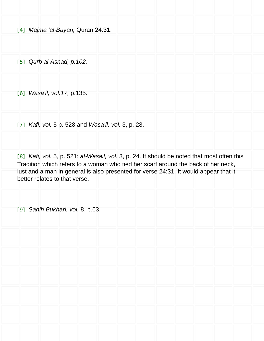<span id="page-60-0"></span>[\[4\]](#page-54-1). Majma 'al-Bayan, Quran 24:31.

<span id="page-60-1"></span>[\[5\]](#page-56-0). Qurb al-Asnad, p.102.

<span id="page-60-2"></span>[\[6\]](#page-56-1). Wasa'il, vol. 17, p. 135.

<span id="page-60-3"></span>[\[7\]](#page-57-0). Kafi, vol. 5 p. 528 and Wasa'il, vol. 3, p. 28.

<span id="page-60-4"></span> $[8]$ . Kafi, vol. 5, p. 521; al-Wasail, vol. 3, p. 24. It should be noted that most often this Tradition which refers to a woman who tied her scarf around the back of her neck, lust and a man in general is also presented for verse 24:31. It would appear that it better relates to that verse.

<span id="page-60-5"></span>[\[9\]](#page-59-3). Sahih Bukhari, vol. 8, p.63.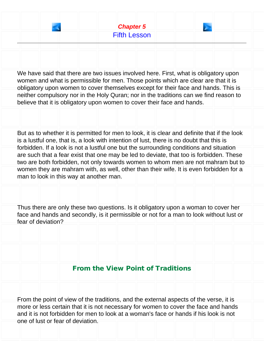

We have said that there are two issues involved here. First, what is obligatory upon women and what is permissible for men. Those points which are clear are that it is obligatory upon women to cover themselves except for their face and hands. This is neither compulsory nor in the Holy Quran; nor in the traditions can we find reason to believe that it is obligatory upon women to cover their face and hands.

But as to whether it is permitted for men to look, it is clear and definite that if the look is a lustful one, that is, a look with intention of lust, there is no doubt that this is forbidden. If a look is not a lustful one but the surrounding conditions and situation are such that a fear exist that one may be led to deviate, that too is forbidden. These two are both forbidden, not only towards women to whom men are not mahram but to women they are mahram with, as well, other than their wife. It is even forbidden for a man to look in this way at another man.

Thus there are only these two questions. Is it obligatory upon a woman to cover her face and hands and secondly, is it permissible or not for a man to look without lust or fear of deviation?

## From the View Point of Traditions

From the point of view of the traditions, and the external aspects of the verse, it is more or less certain that it is not necessary for women to cover the face and hands and it is not forbidden for men to look at a woman's face or hands if his look is not one of lust or fear of deviation.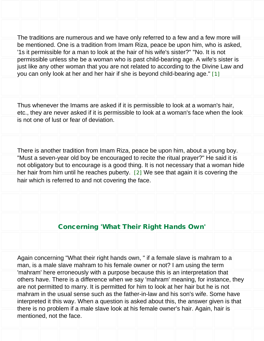The traditions are numerous and we have only referred to a few and a few more will be mentioned. One is a tradition from Imam Riza, peace be upon him, who is asked, '1s it permissible for a man to look at the hair of his wife's sister?" "No. It is not permissible unless she be a woman who is past child-bearing age. A wife's sister is just like any other woman that you are not related to according to the Divine Law and you can only look at her and her hair if she is beyond child-bearing age." [\[1\]](#page-75-0)

Thus whenever the Imams are asked if it is permissible to look at a woman's hair, etc., they are never asked if it is permissible to look at a woman's face when the look is not one of lust or fear of deviation.

There is another tradition from Imam Riza, peace be upon him, about a young boy. "Must a seven-year old boy be encouraged to recite the ritual prayer?" He said it is not obligatory but to encourage is a good thing. It is not necessary that a woman hide her hair from him until he reaches puberty. [2] We see that again it is covering the hair which is referred to and not covering the face.

# Concerning 'What Their Right Hands Own'

Again concerning "What their right hands own, " if a female slave is mahram to a man, is a male slave mahram to his female owner or not? I am using the term 'mahram' here erroneously with a purpose because this is an interpretation that others have. There is a difference when we say 'mahram' meaning, for instance, they are not permitted to marry. It is permitted for him to look at her hair but he is not mahram in the usual sense such as the father-in-law and his son's wife. Some have interpreted it this way. When a question is asked about this, the answer given is that there is no problem if a male slave look at his female owner's hair. Again, hair is mentioned, not the face.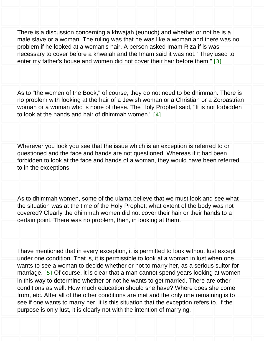There is a discussion concerning a khwajah (eunuch) and whether or not he is a male slave or a woman. The ruling was that he was like a woman and there was no problem if he looked at a woman's hair. A person asked Imam Riza if is was necessary to cover before a khwajah and the Imam said it was not. "They used to enter my father's house and women did not cover their hair before them." [3]

As to "the women of the Book," of course, they do not need to be dhimmah. There is no problem with looking at the hair of a Jewish woman or a Christian or a Zoroastrian woman or a woman who is none of these. The Holy Prophet said, "It is not forbidden to look at the hands and hair of dhimmah women." [4]

Wherever you look you see that the issue which is an exception is referred to or questioned and the face and hands are not questioned. Whereas if it had been forbidden to look at the face and hands of a woman, they would have been referred to in the exceptions.

As to dhimmah women, some of the ulama believe that we must look and see what the situation was at the time of the Holy Prophet; what extent of the body was not covered? Clearly the dhimmah women did not cover their hair or their hands to a certain point. There was no problem, then, in looking at them.

I have mentioned that in every exception, it is permitted to look without lust except under one condition. That is, it is permissible to look at a woman in lust when one wants to see a woman to decide whether or not to marry her, as a serious suitor for marriage. [5] Of course, it is clear that a man cannot spend years looking at women in this way to determine whether or not he wants to get married. There are other conditions as well. How much education should she have? Where does she come from, etc. After all of the other conditions are met and the only one remaining is to see if one wants to marry her, it is this situation that the exception refers to. If the purpose is only lust, it is clearly not with the intention of marrying.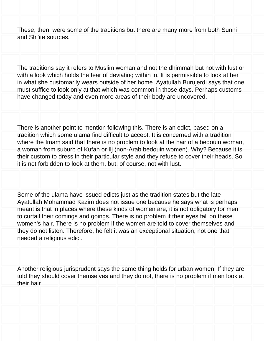These, then, were some of the traditions but there are many more from both Sunni and Shi'ite sources.

The traditions say it refers to Muslim woman and not the dhimmah but not with lust or with a look which holds the fear of deviating within in. It is permissible to look at her in what she customarily wears outside of her home. Ayatullah Burujerdi says that one must suffice to look only at that which was common in those days. Perhaps customs have changed today and even more areas of their body are uncovered.

There is another point to mention following this. There is an edict, based on a tradition which some ulama find difficult to accept. It is concerned with a tradition where the Imam said that there is no problem to look at the hair of a bedouin woman, a woman from suburb of Kufah or Ilj (non-Arab bedouin women). Why? Because it is their custom to dress in their particular style and they refuse to cover their heads. So it is not forbidden to look at them, but, of course, not with lust.

Some of the ulama have issued edicts just as the tradition states but the late Ayatullah Mohammad Kazim does not issue one because he says what is perhaps meant is that in places where these kinds of women are, it is not obligatory for men to curtail their comings and goings. There is no problem if their eyes fall on these women's hair. There is no problem if the women are told to cover themselves and they do not listen. Therefore, he felt it was an exceptional situation, not one that needed a religious edict.

Another religious jurisprudent says the same thing holds for urban women. If they are told they should cover themselves and they do not, there is no problem if men look at their hair.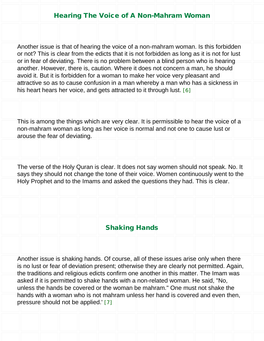## Hearing The Voice of A Non-Mahram Woman

Another issue is that of hearing the voice of a non-mahram woman. Is this forbidden or not? This is clear from the edicts that it is not forbidden as long as it is not for lust or in fear of deviating. There is no problem between a blind person who is hearing another. However, there is, caution. Where it does not concern a man, he should avoid it. But it is forbidden for a woman to make her voice very pleasant and attractive so as to cause confusion in a man whereby a man who has a sickness in his heart hears her voice, and gets attracted to it through lust. [6]

This is among the things which are very clear. It is permissible to hear the voice of a non-mahram woman as long as her voice is normal and not one to cause lust or arouse the fear of deviating.

The verse of the Holy Quran is clear. It does not say women should not speak. No. It says they should not change the tone of their voice. Women continuously went to the Holy Prophet and to the Imams and asked the questions they had. This is clear.

### Shaking Hands

Another issue is shaking hands. Of course, all of these issues arise only when there is no lust or fear of deviation present; otherwise they are clearly not permitted. Again, the traditions and religious edicts confirm one another in this matter. The Imam was asked if it is permitted to shake hands with a non-related woman. He said, "No, unless the hands be covered or the woman be mahram." One must not shake the hands with a woman who is not mahram unless her hand is covered and even then, pressure should not be applied.' [7]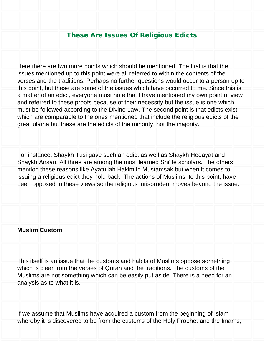## These Are Issues Of Religious Edicts

Here there are two more points which should be mentioned. The first is that the issues mentioned up to this point were all referred to within the contents of the verses and the traditions. Perhaps no further questions would occur to a person up to this point, but these are some of the issues which have occurred to me. Since this is a matter of an edict, everyone must note that I have mentioned my own point of view and referred to these proofs because of their necessity but the issue is one which must be followed according to the Divine Law. The second point is that edicts exist which are comparable to the ones mentioned that include the religious edicts of the great ulama but these are the edicts of the minority, not the majority.

For instance, Shaykh Tusi gave such an edict as well as Shaykh Hedayat and Shaykh Ansari. All three are among the most learned Shi'ite scholars. The others mention these reasons like Ayatullah Hakim in Mustamsak but when it comes to issuing a religious edict they hold back. The actions of Muslims, to this point, have been opposed to these views so the religious jurisprudent moves beyond the issue.

#### **Muslim Custom**

This itself is an issue that the customs and habits of Muslims oppose something which is clear from the verses of Quran and the traditions. The customs of the Muslims are not something which can be easily put aside. There is a need for an analysis as to what it is.

If we assume that Muslims have acquired a custom from the beginning of Islam whereby it is discovered to be from the customs of the Holy Prophet and the Imams,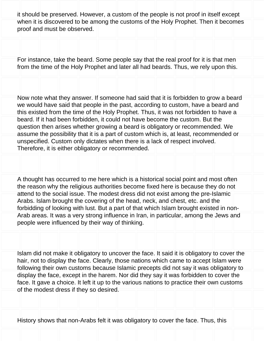it should be preserved. However, a custom of the people is not proof in itself except when it is discovered to be among the customs of the Holy Prophet. Then it becomes proof and must be observed.

For instance, take the beard. Some people say that the real proof for it is that men from the time of the Holy Prophet and later all had beards. Thus, we rely upon this.

Now note what they answer. If someone had said that it is forbidden to grow a beard we would have said that people in the past, according to custom, have a beard and this existed from the time of the Holy Prophet. Thus, it was not forbidden to have a beard. If it had been forbidden, it could not have become the custom. But the question then arises whether growing a beard is obligatory or recommended. We assume the possibility that it is a part of custom which is, at least, recommended or unspecified. Custom only dictates when there is a lack of respect involved. Therefore, it is either obligatory or recommended.

A thought has occurred to me here which is a historical social point and most often the reason why the religious authorities become fixed here is because they do not attend to the social issue. The modest dress did not exist among the pre-Islamic Arabs. Islam brought the covering of the head, neck, and chest, etc. and the forbidding of looking with lust. But a part of that which Islam brought existed in non-Arab areas. It was a very strong influence in Iran, in particular, among the Jews and people were influenced by their way of thinking.

Islam did not make it obligatory to uncover the face. It said it is obligatory to cover the hair, not to display the face. Clearly, those nations which came to accept Islam were following their own customs because Islamic precepts did not say it was obligatory to display the face, except in the harem. Nor did they say it was forbidden to cover the face. It gave a choice. It left it up to the various nations to practice their own customs of the modest dress if they so desired.

History shows that non-Arabs felt it was obligatory to cover the face. Thus, this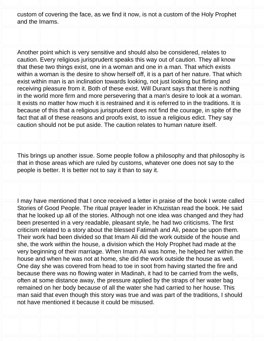custom of covering the face, as we find it now, is not a custom of the Holy Prophet and the Imams.

Another point which is very sensitive and should also be considered, relates to caution. Every religious jurisprudent speaks this way out of caution. They all know that these two things exist, one in a woman and one in a man. That which exists within a woman is the desire to show herself off, it is a part of her nature. That which exist within man is an inclination towards looking, not just looking but flirting and receiving pleasure from it. Both of these exist. Will Durant says that there is nothing in the world more firm and more persevering that a man's desire to look at a woman. It exists no matter how much it is restrained and it is referred to in the traditions. It is because of this that a religious jurisprudent does not find the courage, in spite of the fact that all of these reasons and proofs exist, to issue a religious edict. They say caution should not be put aside. The caution relates to human nature itself.

This brings up another issue. Some people follow a philosophy and that philosophy is that in those areas which are ruled by customs, whatever one does not say to the people is better. It is better not to say it than to say it.

I may have mentioned that I once received a letter in praise of the book I wrote called Stories of Good People. The ritual prayer leader in Khuzistan read the book. He said that he looked up all of the stories. Although not one idea was changed and they had been presented in a very readable, pleasant style, he had two criticisms. The first criticism related to a story about the blessed Fatimah and Ali, peace be upon them. Their work had been divided so that Imam Ali did the work outside of the house and she, the work within the house, a division which the Holy Prophet had made at the very beginning of their marriage. When Imam Ali was home, he helped her within the house and when he was not at home, she did the work outside the house as well. One day she was covered from head to toe in soot from having started the fire and because there was no flowing water in Madinah, it had to be carried from the wells, often at some distance away, the pressure applied by the straps of her water bag remained on her body because of all the water she had carried to her house. This man said that even though this story was true and was part of the traditions, I should not have mentioned it because it could be misused.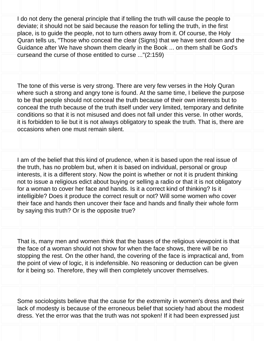I do not deny the general principle that if telling the truth will cause the people to deviate; it should not be said because the reason for telling the truth, in the first place, is to guide the people, not to turn others away from it. Of course, the Holy Quran tells us, "Those who conceal the clear (Signs) that we have sent down and the Guidance after We have shown them clearly in the Book ... on them shall be God's curseand the curse of those entitled to curse ..."(2:159)

The tone of this verse is very strong. There are very few verses in the Holy Quran where such a strong and angry tone is found. At the same time, I believe the purpose to be that people should not conceal the truth because of their own interests but to conceal the truth because of the truth itself under very limited, temporary and definite conditions so that it is not misused and does not fall under this verse. In other words, it is forbidden to lie but it is not always obligatory to speak the truth. That is, there are occasions when one must remain silent.

I am of the belief that this kind of prudence, when it is based upon the real issue of the truth, has no problem but, when it is based on individual, personal or group interests, it is a different story. Now the point is whether or not it is prudent thinking not to issue a religious edict about buying or selling a radio or that it is not obligatory for a woman to cover her face and hands. Is it a correct kind of thinking? Is it intelligible? Does it produce the correct result or not? Will some women who cover their face and hands then uncover their face and hands and finally their whole form by saying this truth? Or is the opposite true?

That is, many men and women think that the bases of the religious viewpoint is that the face of a woman should not show for when the face shows, there will be no stopping the rest. On the other hand, the covering of the face is impractical and, from the point of view of logic, it is indefensible. No reasoning or deduction can be given for it being so. Therefore, they will then completely uncover themselves.

Some sociologists believe that the cause for the extremity in women's dress and their lack of modesty is because of the erroneous belief that society had about the modest dress. Yet the error was that the truth was not spoken! If it had been expressed just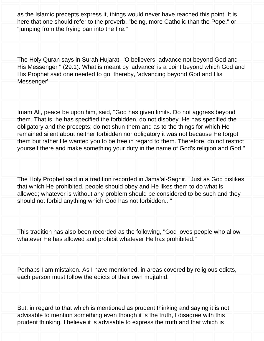as the Islamic precepts express it, things would never have reached this point. It is here that one should refer to the proverb, "being, more Catholic than the Pope," or "jumping from the frying pan into the fire."

The Holy Quran says in Surah Hujarat, "O believers, advance not beyond God and His Messenger " (29:1). What is meant by 'advance' is a point beyond which God and His Prophet said one needed to go, thereby, 'advancing beyond God and His Messenger'.

Imam Ali, peace be upon him, said, "God has given limits. Do not aggress beyond them. That is, he has specified the forbidden, do not disobey. He has specified the obligatory and the precepts; do not shun them and as to the things for which He remained silent about neither forbidden nor obligatory it was not because He forgot them but rather He wanted you to be free in regard to them. Therefore, do not restrict yourself there and make something your duty in the name of God's religion and God."

The Holy Prophet said in a tradition recorded in Jama'al-Saghir, "Just as God dislikes that which He prohibited, people should obey and He likes them to do what is allowed; whatever is without any problem should be considered to be such and they should not forbid anything which God has not forbidden..."

This tradition has also been recorded as the following, "God loves people who allow whatever He has allowed and prohibit whatever He has prohibited."

Perhaps I am mistaken. As I have mentioned, in areas covered by religious edicts, each person must follow the edicts of their own mujtahid.

But, in regard to that which is mentioned as prudent thinking and saying it is not advisable to mention something even though it is the truth, I disagree with this prudent thinking. I believe it is advisable to express the truth and that which is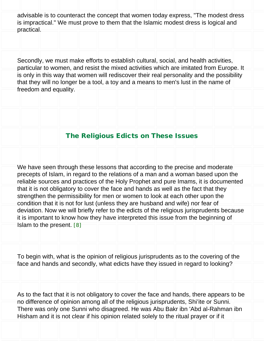advisable is to counteract the concept that women today express, "The modest dress is impractical." We must prove to them that the Islamic modest dress is logical and practical.

Secondly, we must make efforts to establish cultural, social, and health activities, particular to women, and resist the mixed activities which are imitated from Europe. It is only in this way that women will rediscover their real personality and the possibility that they will no longer be a tool, a toy and a means to men's lust in the name of freedom and equality.

# The Religious Edicts on These Issues

We have seen through these lessons that according to the precise and moderate precepts of Islam, in regard to the relations of a man and a woman based upon the reliable sources and practices of the Holy Prophet and pure Imams, it is documented that it is not obligatory to cover the face and hands as well as the fact that they strengthen the permissibility for men or women to look at each other upon the condition that it is not for lust (unless they are husband and wife) nor fear of deviation. Now we will briefly refer to the edicts of the religious jurisprudents because it is important to know how they have interpreted this issue from the beginning of Islam to the present. [8]

To begin with, what is the opinion of religious jurisprudents as to the covering of the face and hands and secondly, what edicts have they issued in regard to looking?

As to the fact that it is not obligatory to cover the face and hands, there appears to be no difference of opinion among all of the religious jurisprudents, Shi'ite or Sunni. There was only one Sunni who disagreed. He was Abu Bakr ibn 'Abd al-Rahman ibn Hisham and it is not clear if his opinion related solely to the ritual prayer or if it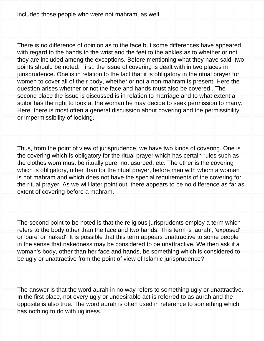included those people who were not mahram, as well.

There is no difference of opinion as to the face but some differences have appeared with regard to the hands to the wrist and the feet to the ankles as to whether or not they are included among the exceptions. Before mentioning what they have said, two points should be noted. First, the issue of covering is dealt with in two places in jurisprudence. One is in relation to the fact that it is obligatory in the ritual prayer for women to cover all of their body, whether or not a non-mahram is present. Here the question arises whether or not the face and hands must also be covered . The second place the issue is discussed is in relation to marriage and to what extent a suitor has the right to look at the woman he may decide to seek permission to marry. Here, there is most often a general discussion about covering and the permissibility or impermissibility of looking.

Thus, from the point of view of jurisprudence, we have two kinds of covering. One is the covering which is obligatory for the ritual prayer which has certain rules such as the clothes worn must be ritually pure, not usurped, etc. The other is the covering which is obligatory, other than for the ritual prayer, before men with whom a woman is not mahram and which does not have the special requirements of the covering for the ritual prayer. As we will later point out, there appears to be no difference as far as extent of covering before a mahram.

The second point to be noted is that the religious jurisprudents employ a term which refers to the body other than the face and two hands. This term is 'aurah', 'exposed' or 'bare' or 'naked'. It is possible that this term appears unattractive to some people in the sense that nakedness may be considered to be unattractive. We then ask if a woman's body, other than her face and hands, be something which is considered to be ugly or unattractive from the point of view of Islamic jurisprudence?

The answer is that the word aurah in no way refers to something ugly or unattractive. In the first place, not every ugly or undesirable act is referred to as aurah and the opposite is also true. The word aurah is often used in reference to something which has nothing to do with ugliness.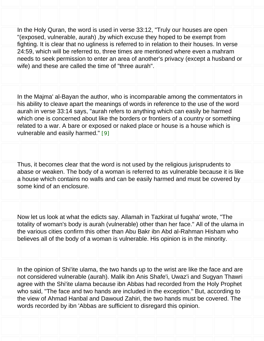In the Holy Quran, the word is used in verse 33:12, "Truly our houses are open "(exposed, vulnerable, aurah) ,by which excuse they hoped to be exempt from fighting. It is clear that no ugliness is referred to in relation to their houses. In verse 24:59, which will be referred to, three times are mentioned where even a mahram needs to seek permission to enter an area of another's privacy (except a husband or wife) and these are called the time of "three aurah".

In the Majma' al-Bayan the author, who is incomparable among the commentators in his ability to cleave apart the meanings of words in reference to the use of the word aurah in verse 33:14 says, "aurah refers to anything which can easily be harmed which one is concerned about like the borders or frontiers of a country or something related to a war. A bare or exposed or naked place or house is a house which is vulnerable and easily harmed." [9]

<span id="page-73-0"></span>Thus, it becomes clear that the word is not used by the religious jurisprudents to abase or weaken. The body of a woman is referred to as vulnerable because it is like a house which contains no walls and can be easily harmed and must be covered by some kind of an enclosure.

Now let us look at what the edicts say. Allamah in Tazkirat ul fuqaha' wrote, "The totality of woman's body is aurah (vulnerable) other than her face." All of the ulama in the various cities confirm this other than Abu Bakr ibn Abd al-Rahman Hisham who believes all of the body of a woman is vulnerable. His opinion is in the minority.

In the opinion of Shi'ite ulama, the two hands up to the wrist are like the face and are not considered vulnerable (aurah). Malik ibn Anis Shafe'i, Uwaz'i and Sugyan Thawri agree with the Shi'ite ulama because ibn Abbas had recorded from the Holy Prophet who said, "The face and two hands are included in the exception." But, according to the view of Ahmad Hanbal and Dawoud Zahiri, the two hands must be covered. The words recorded by ibn 'Abbas are sufficient to disregard this opinion.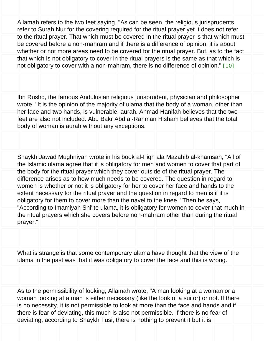Allamah refers to the two feet saying, "As can be seen, the religious jurisprudents refer to Surah Nur for the covering required for the ritual prayer yet it does not refer to the ritual prayer. That which must be covered in the ritual prayer is that which must be covered before a non-rnahram and if there is a difference of opinion, it is about whether or not more areas need to be covered for the ritual prayer. But, as to the fact that which is not obligatory to cover in the ritual prayers is the same as that which is not obligatory to cover with a non-mahram, there is no difference of opinion." [\[10\]](#page-76-0)

<span id="page-74-0"></span>Ibn Rushd, the famous Andulusian religious jurisprudent, physician and philosopher wrote, "It is the opinion of the majority of ulama that the body of a woman, other than her face and two hands, is vulnerable, aurah. Ahmad Hanifah believes that the two feet are also not included. Abu Bakr Abd al-Rahman Hisham believes that the total body of woman is aurah without any exceptions.

Shaykh Jawad Mughniyah wrote in his book al-Fiqh ala Mazahib al-khamsah, "All of the Islamic ulama agree that it is obligatory for men and women to cover that part of the body for the ritual prayer which they cover outside of the ritual prayer. The difference arises as to how much needs to be covered. The question in regard to women is whether or not it is obligatory for her to cover her face and hands to the extent necessary for the ritual prayer and the question in regard to men is if it is obligatory for them to cover more than the navel to the knee." Then he says, "According to Imamiyah Shi'ite ulama, it is obligatory for women to cover that much in the ritual prayers which she covers before non-mahram other than during the ritual prayer."

What is strange is that some contemporary ulama have thought that the view of the ulama in the past was that it was obligatory to cover the face and this is wrong.

As to the permissibility of looking, Allamah wrote, "A man looking at a woman or a woman looking at a man is either necessary (like the look of a suitor) or not. If there is no necessity, it is not permissible to look at more than the face and hands and if there is fear of deviating, this much is also not permissible. If there is no fear of deviating, according to Shaykh Tusi, there is nothing to prevent it but it is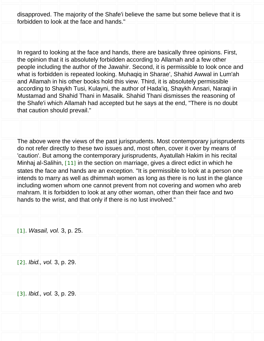disapproved. The majority of the Shafe'i believe the same but some believe that it is forbidden to look at the face and hands."

In regard to looking at the face and hands, there are basically three opinions. First, the opinion that it is absolutely forbidden according to Allamah and a few other people including the author of the Jawahir. Second, it is permissible to look once and what is forbidden is repeated looking. Muhaqiq in Sharae', Shahid Awwal in Lum'ah and Allamah in his other books hold this view. Third, it is absolutely permissible according to Shaykh Tusi, Kulayni, the author of Hada'iq, Shaykh Ansari, Naraqi in Mustamad and Shahid Thani in Masalik. Shahid Thani dismisses the reasoning of the Shafe'i which Allamah had accepted but he says at the end, "There is no doubt that caution should prevail."

<span id="page-75-0"></span>The above were the views of the past jurisprudents. Most contemporary jurisprudents do not refer directly to these two issues and, most often, cover it over by means of 'caution'. But among the contemporary jurisprudents, Ayatullah Hakim in his recital Minhaj al-Salihin, [11] in the section on marriage, gives a direct edict in which he states the face and hands are an exception. "It is permissible to look at a person one intends to marry as well as dhimmah women as long as there is no lust in the glance including women whom one cannot prevent from not covering and women who areb rnahram. It is forbidden to look at any other woman, other than their face and two hands to the wrist, and that only if there is no lust involved."

[\[1\]](#page-62-0). *Wasail, vol.* 3, p. 25.

[\[2\]](#page-62-1). Ibid., vol. 3, p. 29.

[\[3\]](#page-63-0). *Ibid., vol.* 3, p. 29.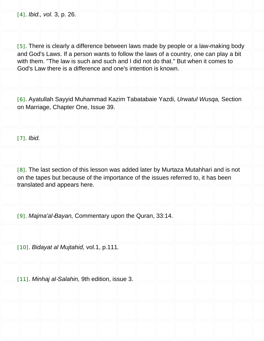[\[5\]](#page-63-2). There is clearly a difference between laws made by people or a law-making body and God's Laws. If a person wants to follow the laws of a country, one can play a bit with them. "The law is such and such and I did not do that." But when it comes to God's Law there is a difference and one's intention is known.

[\[6\]](#page-65-0). Ayatullah Sayyid Muhammad Kazim Tabatabaie Yazdi, Urwatul Wusqa, Section on Marriage, Chapter One, Issue 39.

[\[7\]](#page-65-1). Ibid.

[\[8\]](#page-71-0). The last section of this lesson was added later by Murtaza Mutahhari and is not on the tapes but because of the importance of the issues referred to, it has been translated and appears here.

[\[9\]](#page-73-0). Majma'al-Bayan, Commentary upon the Quran, 33:14.

<span id="page-76-0"></span>[\[10\]](#page-74-0). Bidayat al Mujtahid, vol.1, p.111.

[\[11\]](#page-75-0). Minhaj al-Salahin, 9th edition, issue 3.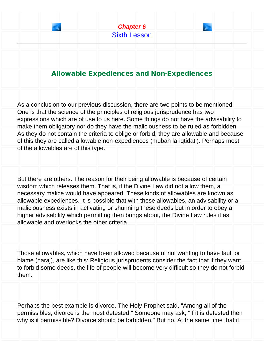

## Allowable Expediences and Non-Expediences

As a conclusion to our previous discussion, there are two points to be mentioned. One is that the science of the principles of religious jurisprudence has two expressions which are of use to us here. Some things do not have the advisability to make them obligatory nor do they have the maliciousness to be ruled as forbidden. As they do not contain the criteria to oblige or forbid, they are allowable and because of this they are called allowable non-expediences (mubah la-iqtidati). Perhaps most of the allowables are of this type.

But there are others. The reason for their being allowable is because of certain wisdom which releases them. That is, if the Divine Law did not allow them, a necessary malice would have appeared. These kinds of allowables are known as allowable expediences. It is possible that with these allowables, an advisability or a maliciousness exists in activating or shunning these deeds but in order to obey a higher advisability which permitting then brings about, the Divine Law rules it as allowable and overlooks the other criteria.

Those allowables, which have been allowed because of not wanting to have fault or blame (haraj), are like this: Religious jurisprudents consider the fact that if they want to forbid some deeds, the life of people will become very difficult so they do not forbid them.

Perhaps the best example is divorce. The Holy Prophet said, "Among all of the permissibles, divorce is the most detested." Someone may ask, "If it is detested then why is it permissible? Divorce should be forbidden." But no. At the same time that it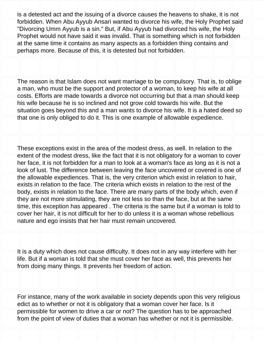is a detested act and the issuing of a divorce causes the heavens to shake, it is not forbidden. When Abu Ayyub Ansari wanted to divorce his wife, the Holy Prophet said "Divorcing Umm Ayyub is a sin." But, if Abu Ayyub had divorced his wife, the Holy Prophet would not have said it was invalid. That is something which is not forbidden at the same time it contains as many aspects as a forbidden thing contains and perhaps more. Because of this, it is detested but not forbidden.

The reason is that Islam does not want marriage to be compulsory. That is, to oblige a man, who must be the support and protector of a woman, to keep his wife at all costs. Efforts are made towards a divorce not occurring but that a man should keep his wife because he is so inclined and not grow cold towards his wife. But the situation goes beyond this and a man wants to divorce his wife. It is a hated deed so that one is only obliged to do it. This is one example of allowable expedience.

These exceptions exist in the area of the modest dress, as well. In relation to the extent of the modest dress, like the fact that it is not obligatory for a woman to cover her face, it is not forbidden for a man to look at a woman's face as long as it is not a look of lust. The difference between leaving the face uncovered or covered is one of the allowable expediences. That is, the very criterion which exist in relation to hair, exists in relation to the face. The criteria which exists in relation to the rest of the body, exists in relation to the face. There are many parts of the body which, even if they are not more stimulating, they are not less so than the face, but at the same time, this exception has appeared . The criteria is the same but if a woman is told to cover her hair, it is not difficult for her to do unless it is a woman whose rebellious nature and ego insists that her hair must remain uncovered.

It is a duty which does not cause difficulty. It does not in any way interfere with her life. But if a woman is told that she must cover her face as well, this prevents her from doing many things. It prevents her freedom of action.

For instance, many of the work available in society depends upon this very religious edict as to whether or not it is obligatory that a woman cover her face. Is it permissible for women to drive a car or not? The question has to be approached from the point of view of duties that a woman has whether or not it is permissible.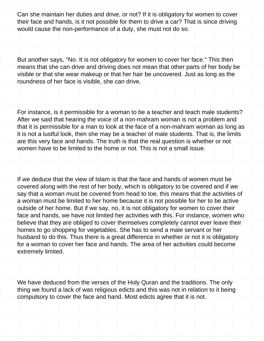Can she maintain her duties and drive, or not? If it is obligatory for women to cover their face and hands, is it not possible for them to drive a car? That is since driving would cause the non-performance of a duty, she must not do so.

But another says, "No. It is not obligatory for women to cover her face." This then means that she can drive and driving does not mean that other parts of her body be visible or that she wear makeup or that her hair be uncovered. Just as long as the roundness of her face is visible, she can drive.

For instance, is it permissible for a woman to be a teacher and teach male students? After we said that hearing the voice of a non-mahram woman is not a problem and that it is permissible for a man to look at the face of a non-mahram woman as long as it is not a lustful look, then she may be a teacher of male students. That is, the limits are this very face and hands. The truth is that the real question is whether or not women have to be limited to the home or not. This is not a small issue.

If we deduce that the view of Islam is that the face and hands of women must be covered along with the rest of her body, which is obligatory to be covered and if we say that a woman must be covered from head to toe, this means that the activities of a woman must be limited to her home because it is not possible for her to be active outside of her home. But if we say, no, it is not obligatory for women to cover their face and hands, we have not limited her activities with this. For instance, women who believe that they are obliged to cover themselves completely cannot ever leave their homes to go shopping for vegetables. She has to send a male servant or her husband to do this. Thus there is a great difference in whether or not it is obligatory for a woman to cover her face and hands. The area of her activities could become extremely limited.

We have deduced from the verses of the Holy Quran and the traditions. The only thing we found a lack of was religious edicts and this was not in relation to it being compulsory to cover the face and hand. Most edicts agree that it is not.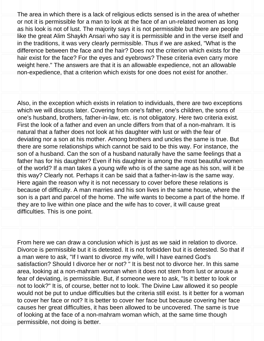The area in which there is a lack of religious edicts sensed is in the area of whether or not it is permissible for a man to look at the face of an un-related women as long as his look is not of lust. The majority says it is not permissible but there are people like the great Alim Shaykh Ansari who say it is permissible and in the verse itself and in the traditions, it was very clearly permissible. Thus if we are asked, "What is the difference between the face and the hair? Does not the criterion which exists for the hair exist for the face? For the eyes and eyebrows? These criteria even carry more weight here." The answers are that it is an allowable expedience, not an allowable non-expedience, that a criterion which exists for one does not exist for another.

Also, in the exception which exists in relation to individuals, there are two exceptions which we will discuss later. Covering from one's father, one's children, the sons of one's husband, brothers, father-in-law, etc. is not obligatory. Here two criteria exist. First the look of a father and even an uncle differs from that of a non-mahram. It is natural that a father does not look at his daughter with lust or with the fear of deviating nor a son at his mother. Among brothers and uncles the same is true. But there are some relationships which cannot be said to be this way. For instance, the son of a husband. Can the son of a husband naturally have the same feelings that a father has for his daughter? Even if his daughter is among the most beautiful women of the world? If a man takes a young wife who is of the same age as his son, will it be this way? Clearly not. Perhaps it can be said that a father-in-law is the same way. Here again the reason why it is not necessary to cover before these relations is because of difficulty. A man marries and his son lives in the same house, where the son is a part and parcel of the home. The wife wants to become a part of the home. If they are to live within one place and the wife has to cover, it will cause great difficulties. This is one point.

From here we can draw a conclusion which is just as we said in relation to divorce. Divorce is permissible but it is detested. It is not forbidden but it is detested. So that if a man were to ask, "If I want to divorce my wife, will I have earned God's satisfaction? Should I divorce her or not? " It is best not to divorce her. In this same area, looking at a non-mahram woman when it does not stem from lust or arouse a fear of deviating, is permissible. But, if someone were to ask, "Is it better to look or not to look?" It is, of course, better not to look. The Divine Law allowed it so people would not be put to undue difficulties but the criteria still exist. Is it better for a woman to cover her face or not? It is better to cover her face but because covering her face causes her great difficulties, it has been allowed to be uncovered. The same is true of looking at the face of a non-mahram woman which, at the same time though permissible, not doing is better.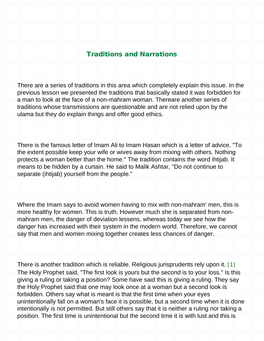## Traditions and Narrations

There are a series of traditions in this area which completely explain this issue. In the previous lesson we presented the traditions that basically stated it was forbidden for a man to look at the face of a non-mahram woman. Thereare another series of traditions whose transmissions are questionable and are not relied upon by the ulama but they do explain things and offer good ethics.

There is the famous letter of Imam Ali to Imam Hasan which is a letter of advice, "To the extent possible keep your wife or wives away from mixing with others. Nothing protects a woman better than the home." The tradition contains the word ihtijab. It means to be hidden by a curtain. He said to Malik Ashtar, "Do not continue to separate (ihtijab) yourself from the people."

Where the Imam says to avoid women having to mix with non-mahram' men, this is more healthy for women. This is truth. However much she is separated from nonmahram men, the danger of deviation lessens, whereas today we see how the danger has increased with their system in the modern world. Therefore, we cannot say that men and women mixing together creates less chances of danger.

<span id="page-82-0"></span>There is another tradition which is reliable. Religious jurisprudents rely upon it. [\[1\]](#page-87-0) The Holy Prophet said, "The first look is yours but the second is to your loss." Is this giving a ruling or taking a position? Some have said this is giving a ruling. They say the Holy Prophet said that one may look once at a woman but a second look is forbidden. Others say what is meant is that the first time when your eyes unintentionally fall on a woman's face it is possible, but a second time when it is done intentionally is not permitted. But still others say that it is neither a ruling nor taking a position. The first time is unintentional but the second time it is with lust and this is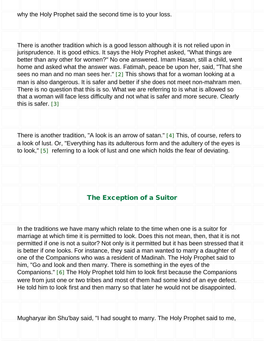why the Holy Prophet said the second time is to your loss.

<span id="page-83-0"></span>There is another tradition which is a good lesson although it is not relied upon in jurisprudence. It is good ethics. It says the Holy Prophet asked, "What things are better than any other for women?" No one answered. Imam Hasan, still a child, went home and asked what the answer was. Fatimah, peace be upon her, said, "That she sees no man and no man sees her." [\[2\]](#page-87-1) This shows that for a woman looking at a man is also dangerous. It is safer and better if she does not meet non-mahram men. There is no question that this is so. What we are referring to is what is allowed so that a woman will face less difficulty and not what is safer and more secure. Clearly this is safer. [\[3\]](#page-88-0)

<span id="page-83-3"></span><span id="page-83-2"></span><span id="page-83-1"></span>There is another tradition, "A look is an arrow of satan." [\[4\]](#page-88-1) This, of course, refers to a look of lust. Or, "Everything has its adulterous form and the adultery of the eyes is to look," [\[5\]](#page-88-2) referring to a look of lust and one which holds the fear of deviating.

## The Exception of a Suitor

In the traditions we have many which relate to the time when one is a suitor for marriage at which time it is permitted to look. Does this not mean, then, that it is not permitted if one is not a suitor? Not only is it permitted but it has been stressed that it is better if one looks. For instance, they said a man wanted to marry a daughter of one of the Companions who was a resident of Madinah. The Holy Prophet said to him, "Go and look and then marry. There is something in the eyes of the Companions." [\[6\]](#page-88-3) The Holy Prophet told him to look first because the Companions were from just one or two tribes and most of them had some kind of an eye defect. He told him to look first and then marry so that later he would not be disappointed.

<span id="page-83-4"></span>Mugharyar ibn Shu'bay said, "I had sought to marry. The Holy Prophet said to me,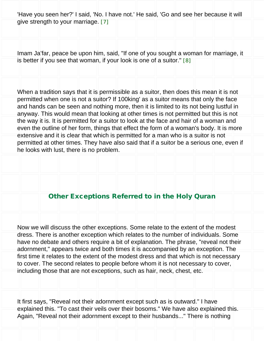<span id="page-84-0"></span>'Have you seen her?' I said, 'No. I have not.' He said, 'Go and see her because it will give strength to your marriage. [\[7\]](#page-88-4)

<span id="page-84-1"></span>Imam Ja'far, peace be upon him, said, "If one of you sought a woman for marriage, it is better if you see that woman, if your look is one of a suitor." [\[8\]](#page-88-5)

When a tradition says that it is permissible as a suitor, then does this mean it is not permitted when one is not a suitor? If 100king' as a suitor means that only the face and hands can be seen and nothing more, then it is limited to its not being lustful in anyway. This would mean that looking at other times is not permitted but this is not the way it is. It is permitted for a suitor to look at the face and hair of a woman and even the outline of her form, things that effect the form of a woman's body. It is more extensive and it is clear that which is permitted for a man who is a suitor is not permitted at other times. They have also said that if a suitor be a serious one, even if he looks with lust, there is no problem.

### Other Exceptions Referred to in the Holy Quran

Now we will discuss the other exceptions. Some relate to the extent of the modest dress. There is another exception which relates to the number of individuals. Some have no debate and others require a bit of explanation. The phrase, "reveal not their adornment," appears twice and both times it is accompanied by an exception. The first time it relates to the extent of the modest dress and that which is not necessary to cover. The second relates to people before whom it is not necessary to cover, including those that are not exceptions, such as hair, neck, chest, etc.

It first says, "Reveal not their adornment except such as is outward." I have explained this. "To cast their veils over their bosoms." We have also explained this. Again, "Reveal not their adornment except to their husbands..." There is nothing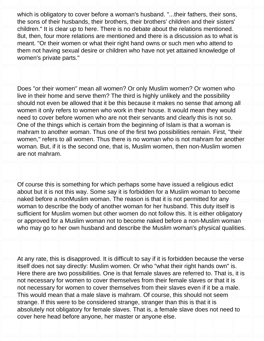which is obligatory to cover before a woman's husband. "...their fathers, their sons, the sons of their husbands, their brothers, their brothers' children and their sisters' children." It is clear up to here. There is no debate about the relations mentioned. 8ut, then, four more relations are mentioned and there is a discussion as to what is meant. "Or their women or what their right hand owns or such men who attend to them not having sexual desire or children who have not yet attained knowledge of women's private parts."

Does "or their women" mean all women? Or only Muslim women? Or women who live in their home and serve them? The third is highly unlikely and the possibility should not even be allowed that it be this because it makes no sense that among all women it only refers to women who work in their house. It would mean they would need to cover before women who are not their servants and clearly this is not so. One of the things which is certain from the beginning of Islam is that a woman is mahram to another woman. Thus one of the first two possibilities remain. First, "their women," refers to all women. Thus there is no woman who is not mahram for another woman. But, if it is the second one, that is, Muslim women, then non-Muslim women are not mahram.

Of course this is something for which perhaps some have issued a religious edict about but it is not this way. Some say it is forbidden for a Muslim woman to become naked before a nonMuslim woman. The reason is that it is not permitted for any woman to describe the body of another woman for her husband. This duty itself is sufficient for Muslim women but other women do not follow this. It is either obligatory or approved for a Muslim woman not to become naked before a non-Muslim woman who may go to her own husband and describe the Muslim woman's physical qualities.

At any rate, this is disapproved. It is difficult to say if it is forbidden because the verse itself does not say directly: Muslim women. Or who "what their right hands own" is. Here there are two possibilities. One is that female slaves are referred to. That is, it is not necessary for women to cover themselves from their female slaves or that it is not necessary for women to cover themselves from their slaves even if it be a male. This would mean that a male slave is mahram. Of course, this should not seem strange. If this were to be considered strange, stranger than this is that it is absolutely not obligatory for female slaves. That is, a female slave does not need to cover here head before anyone, her master or anyone else.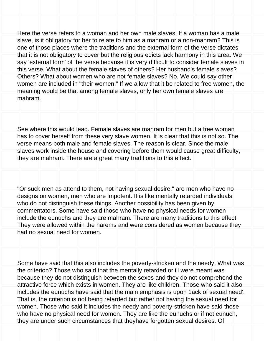Here the verse refers to a woman and her own male slaves. If a woman has a male slave, is it obligatory for her to relate to him as a mahram or a non-mahram? This is one of those places where the traditions and the external form of the verse dictates that it is not obligatory to cover but the religious edicts lack harmony in this area. We say 'external form' of the verse because it is very difficult to consider female slaves in this verse. What about the female slaves of others? Her husband's female slaves? Others? What about women who are not female slaves? No. We could say other women are included in "their women." If we allow that it be related to free women, the meaning would be that among female slaves, only her own female slaves are mahram.

See where this would lead. Female slaves are mahram for men but a free woman has to cover herself from these very slave women. It is clear that this is not so. The verse means both male and female slaves. The reason is clear. Since the male slaves work inside the house and covering before them would cause great difficulty, they are mahram. There are a great many traditions to this effect.

"Or suck men as attend to them, not having sexual desire," are men who have no designs on women, men who are impotent. It is like mentally retarded individuals who do not distinguish these things. Another possibility has been given by commentators. Some have said those who have no physical needs for women include the eunuchs and they are mahram. There are many traditions to this effect. They were allowed within the harems and were considered as women because they had no sexual need for women.

Some have said that this also includes the poverty-stricken and the needy. What was the criterion? Those who said that the mentally retarded or ill were meant was because they do not distinguish between the sexes and they do not comprehend the attractive force which exists in women. They are like children. Those who said it also includes the eunuchs have said that the main emphasis is upon 1ack of sexual need'. That is, the criterion is not being retarded but rather not having the sexual need for women. Those who said it includes the needy and poverty-stricken have said those who have no physical need for women. They are like the eunuchs or if not eunuch, they are under such circumstances that theyhave forgotten sexual desires. Of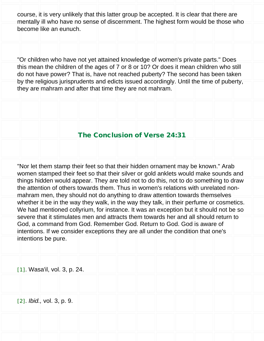course, it is very unlikely that this latter group be accepted. It is clear that there are mentally ill who have no sense of discernment. The highest form would be those who become like an eunuch.

"Or children who have not yet attained knowledge of women's private parts." Does this mean the children of the ages of 7 or 8 or 10? Or does it mean children who still do not have power? That is, have not reached puberty? The second has been taken by the religious jurisprudents and edicts issued accordingly. Until the time of puberty, they are mahram and after that time they are not mahram.

## The Conclusion of Verse 24:31

"Nor let them stamp their feet so that their hidden ornament may be known." Arab women stamped their feet so that their silver or gold anklets would make sounds and things hidden would appear. They are told not to do this, not to do something to draw the attention of others towards them. Thus in women's relations with unrelated nonmahram men, they should not do anything to draw attention towards themselves whether it be in the way they walk, in the way they talk, in their perfume or cosmetics. We had mentioned collyrium, for instance. It was an exception but it should not be so severe that it stimulates men and attracts them towards her and all should return to God, a command from God. Remember God. Return to God. God is aware of intentions. If we consider exceptions they are all under the condition that one's intentions be pure.

<span id="page-87-0"></span>[\[1\]](#page-82-0). Wasa'il, vol. 3, p. 24.

<span id="page-87-1"></span>[\[2\]](#page-83-0). Ibid., vol. 3, p. 9.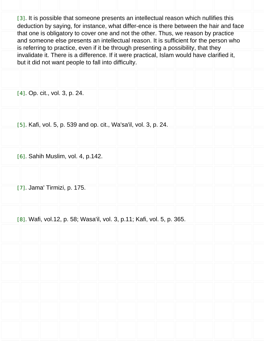<span id="page-88-0"></span>[\[3\]](#page-83-1). It is possible that someone presents an intellectual reason which nullifies this deduction by saying, for instance, what differ-ence is there between the hair and face that one is obligatory to cover one and not the other. Thus, we reason by practice and someone else presents an intellectual reason. It is sufficient for the person who is referring to practice, even if it be through presenting a possibility, that they invalidate it. There is a difference. If it were practical, Islam would have clarified it, but it did not want people to fall into difficulty.

<span id="page-88-1"></span>[\[4\]](#page-83-2). Op. cit., vol. 3, p. 24.

<span id="page-88-2"></span>[\[5\]](#page-83-3). Kafi, vol. 5, p. 539 and op. cit., Wa'sa'il, vol. 3, p. 24.

<span id="page-88-3"></span>[\[6\]](#page-83-4). Sahih Muslim, vol. 4, p.142.

<span id="page-88-4"></span>[\[7\]](#page-84-0). Jama' Tirmizi, p. 175.

<span id="page-88-5"></span>[\[8\]](#page-84-1). Wafi, vol.12, p. 58; Wasa'il, vol. 3, p.11; Kafi, vol. 5, p. 365.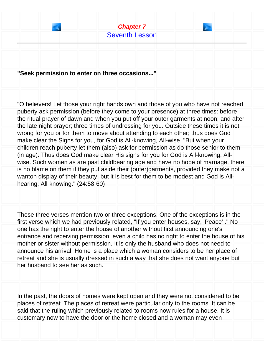

#### **"Seek permission to enter on three occasions..."**

"O believers! Let those your right hands own and those of you who have not reached puberty ask permission (before they come to your presence) at three times: before the ritual prayer of dawn and when you put off your outer garments at noon; and after the late night prayer; three times of undressing for you. Outside these times it is not wrong for you or for them to move about attending to each other; thus does God make clear the Signs for you, for God is All-knowing, All-wise. "But when your children reach puberty let them (also) ask for permission as do those senior to them (in age). Thus does God make clear His signs for you for God is All-knowing, Allwise. Such women as are past childbearing age and have no hope of marriage, there is no blame on them if they put aside their (outer)garments, provided they make not a wanton display of their beauty; but it is best for them to be modest and God is Allhearing, All-knowing." (24:58-60)

These three verses mention two or three exceptions. One of the exceptions is in the first verse which we had previously related, "If you enter houses, say, 'Peace' ." No one has the right to enter the house of another without first announcing one's entrance and receiving permission; even a child has no right to enter the house of his mother or sister without permission. It is only the husband who does not need to announce his arrival. Home is a place which a woman considers to be her place of retreat and she is usually dressed in such a way that she does not want anyone but her husband to see her as such.

In the past, the doors of homes were kept open and they were not considered to be places of retreat. The places of retreat were particular only to the rooms. It can be said that the ruling which previously related to rooms now rules for a house. It is customary now to have the door or the home closed and a woman may even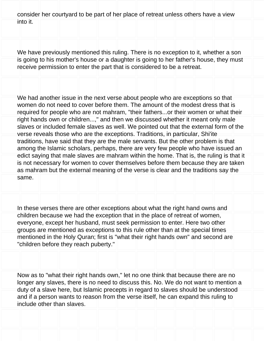consider her courtyard to be part of her place of retreat unless others have a view into it.

We have previously mentioned this ruling. There is no exception to it, whether a son is going to his mother's house or a daughter is going to her father's house, they must receive permission to enter the part that is considered to be a retreat.

We had another issue in the next verse about people who are exceptions so that women do not need to cover before them. The amount of the modest dress that is required for people who are not mahram, "their fathers...or their women or what their right hands own or children...," and then we discussed whether it meant only male slaves or included female slaves as well. We pointed out that the external form of the verse reveals those who are the exceptions. Traditions, in particular, Shi'ite traditions, have said that they are the male servants. But the other problem is that among the Islamic scholars, perhaps, there are very few people who have issued an edict saying that male slaves are mahram within the home. That is, the ruling is that it is not necessary for women to cover themselves before them because they are taken as mahram but the external meaning of the verse is clear and the traditions say the same.

In these verses there are other exceptions about what the right hand owns and children because we had the exception that in the place of retreat of women, everyone, except her husband, must seek permission to enter. Here two other groups are mentioned as exceptions to this rule other than at the special times mentioned in the Holy Quran; first is "what their right hands own" and second are "children before they reach puberty."

Now as to "what their right hands own," let no one think that because there are no longer any slaves, there is no need to discuss this. No. We do not want to mention a duty of a slave here, but Islamic precepts in regard to slaves should be understood and if a person wants to reason from the verse itself, he can expand this ruling to include other than slaves.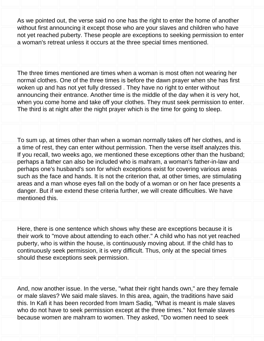As we pointed out, the verse said no one has the right to enter the home of another without first announcing it except those who are your slaves and children who have not yet reached puberty. These people are exceptions to seeking permission to enter a woman's retreat unless it occurs at the three special times mentioned.

The three times mentioned are times when a woman is most often not wearing her normal clothes. One of the three times is before the dawn prayer when she has first woken up and has not yet fully dressed . They have no right to enter without announcing their entrance. Another time is the middle of the day when it is very hot, when you come home and take off your clothes. They must seek permission to enter. The third is at night after the night prayer which is the time for going to sleep.

To sum up, at times other than when a woman normally takes off her clothes, and is a time of rest, they can enter without permission. Then the verse itself analyzes this. If you recall, two weeks ago, we mentioned these exceptions other than the husband; perhaps a father can also be included who is mahram, a woman's father-in-law and perhaps one's husband's son for which exceptions exist for covering various areas such as the face and hands. It is not the criterion that, at other times, are stimulating areas and a man whose eyes fall on the body of a woman or on her face presents a danger. But if we extend these criteria further, we will create difficulties. We have mentioned this.

Here, there is one sentence which shows why these are exceptions because it is their work to "move about attending to each other." A child who has not yet reached puberty, who is within the house, is continuously moving about. If the child has to continuously seek permission, it is very difficult. Thus, only at the special times should these exceptions seek permission.

And, now another issue. In the verse, "what their right hands own," are they female or male slaves? We said male slaves. In this area, again, the traditions have said this. In Kafi it has been recorded from Imam Sadiq, "What is meant is male slaves who do not have to seek permission except at the three times." Not female slaves because women are mahram to women. They asked, "Do women need to seek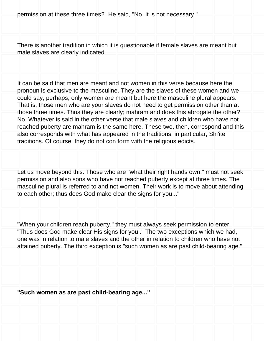permission at these three times?" He said, "No. It is not necessary."

There is another tradition in which it is questionable if female slaves are meant but male slaves are clearly indicated.

It can be said that men are meant and not women in this verse because here the pronoun is exclusive to the masculine. They are the slaves of these women and we could say, perhaps, only women are meant but here the masculine plural appears. That is, those men who are your slaves do not need to get permission other than at those three times. Thus they are clearly; mahram and does this abrogate the other? No. Whatever is said in the other verse that male slaves and children who have not reached puberty are mahram is the same here. These two, then, correspond and this also corresponds with what has appeared in the traditions, in particular, Shi'ite traditions. Of course, they do not con form with the religious edicts.

Let us move beyond this. Those who are "what their right hands own," must not seek permission and also sons who have not reached puberty except at three times. The masculine plural is referred to and not women. Their work is to move about attending to each other; thus does God make clear the signs for you..."

"When your children reach puberty," they must always seek permission to enter. "Thus does God make clear His signs for you ." The two exceptions which we had, one was in relation to male slaves and the other in relation to children who have not attained puberty. The third exception is "such women as are past child-bearing age."

**"Such women as are past child-bearing age..."**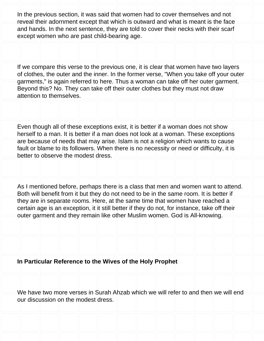In the previous section, it was said that women had to cover themselves and not reveal their adornment except that which is outward and what is meant is the face and hands. In the next sentence, they are told to cover their necks with their scarf except women who are past child-bearing age.

If we compare this verse to the previous one, it is clear that women have two layers of clothes, the outer and the inner. In the former verse, "When you take off your outer garments," is again referred to here. Thus a woman can take off her outer garment. Beyond this? No. They can take off their outer clothes but they must not draw attention to themselves.

Even though all of these exceptions exist, it is better if a woman does not show herself to a man. It is better if a man does not look at a woman. These exceptions are because of needs that may arise. Islam is not a religion which wants to cause fault or blame to its followers. When there is no necessity or need or difficulty, it is better to observe the modest dress.

As I mentioned before, perhaps there is a class that men and women want to attend. Both will benefit from it but they do not need to be in the same room. It is better if they are in separate rooms. Here, at the same time that women have reached a certain age is an exception, it it still better if they do not, for instance, take off their outer garment and they remain like other Muslim women. God is All-knowing.

#### **In Particular Reference to the Wives of the Holy Prophet**

We have two more verses in Surah Ahzab which we will refer to and then we will end our discussion on the modest dress.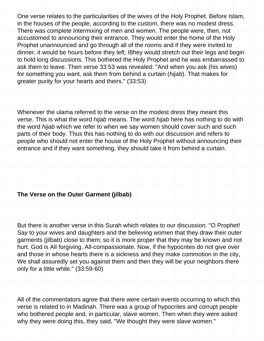One verse relates to the particularities of the wives of the Holy Prophet. Before Islam, in the houses of the people, according to the custom, there was no modest dress. There was complete intermixing of men and women. The people were, then, not accustomed to announcing their entrance. They would enter the home of the Holy Prophet unannounced and go through all of the rooms and if they were invited to dinner, it would be hours before they left. I8hey would stretch out their legs and begin to hold long discussions. This bothered the Holy Prophet and he was embarrassed to ask them to leave. Then verse 33:53 was revealed: "And when you ask (his wives) for something you want, ask them from behind a curtain (hijab). That makes for greater purity for your hearts and theirs." (33:53)

Whenever the ulama referred to the verse on the modest dress they meant this verse. This is what the word hijab means. The word hijab here has nothing to do with the word hijab which we refer to when we say women should cover such and such parts of their body. Thus this has nothing to do with our discussion and refers to people who should not enter the house of the Holy Prophet without announcing their entrance and if they want something, they should take it from behind a curtain.

### **The Verse on the Outer Garment (jilbab)**

But there is another verse in this Surah which relates to our discussion. "O Prophet! Say to your wives and daughters and the believing women that they draw their outer garments (jilbab) close to them; so it is more proper that they may be known and not hurt. God is All forgiving, All-compassionate. Now, if the hypocrites do not give over and those in whose hearts there is a sickness and they make commotion in the city, We shall assuredly set you against them and then they will be your neighbors there only for a little while." (33:59-60)

All of the commentators agree that there were certain events occurring to which this verse is related to in Madinah. There was a group of hypocrites and corrupt people who bothered people and, in particular, slave women. Then when they were asked why they were doing this, they said, "We thought they were slave women."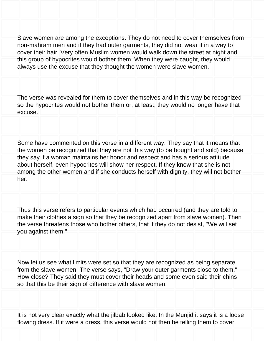Slave women are among the exceptions. They do not need to cover themselves from non-mahram men and if they had outer garments, they did not wear it in a way to cover their hair. Very often Muslim women would walk down the street at night and this group of hypocrites would bother them. When they were caught, they would always use the excuse that they thought the women were slave women.

The verse was revealed for them to cover themselves and in this way be recognized so the hypocrites would not bother them or, at least, they would no longer have that excuse.

Some have commented on this verse in a different way. They say that it means that the women be recognized that they are not this way (to be bought and sold) because they say if a woman maintains her honor and respect and has a serious attitude about herself, even hypocrites will show her respect. If they know that she is not among the other women and if she conducts herself with dignity, they will not bother her.

Thus this verse refers to particular events which had occurred (and they are told to make their clothes a sign so that they be recognized apart from slave women). Then the verse threatens those who bother others, that if they do not desist, "We will set you against them."

Now let us see what limits were set so that they are recognized as being separate from the slave women. The verse says, "Draw your outer garments close to them." How close? They said they must cover their heads and some even said their chins so that this be their sign of difference with slave women.

It is not very clear exactly what the jilbab looked like. In the Munjid it says it is a loose flowing dress. If it were a dress, this verse would not then be telling them to cover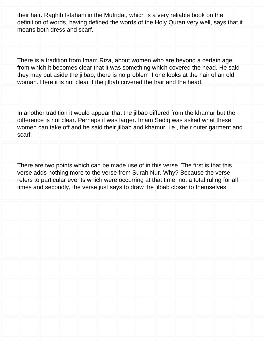their hair. Raghib Isfahani in the Mufridat, which is a very reliable book on the definition of words, having defined the words of the Holy Quran very well, says that it means both dress and scarf.

There is a tradition from Imam Riza, about women who are beyond a certain age, from which it becomes clear that it was something which covered the head. He said they may put aside the jilbab; there is no problem if one looks at the hair of an old woman. Here it is not clear if the jilbab covered the hair and the head.

In another tradition it would appear that the jilbab differed from the khamur but the difference is not clear. Perhaps it was larger. Imam Sadiq was asked what these women can take off and he said their jilbab and khamur, i.e., their outer garment and scarf.

There are two points which can be made use of in this verse. The first is that this verse adds nothing more to the verse from Surah Nur. Why? Because the verse refers to particular events which were occurring at that time, not a total ruling for all times and secondly, the verse just says to draw the jilbab closer to themselves.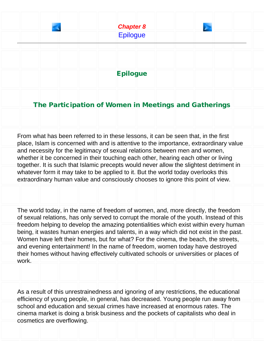



## **Epilogue**

# The Participation of Women in Meetings and Gatherings

From what has been referred to in these lessons, it can be seen that, in the first place, Islam is concerned with and is attentive to the importance, extraordinary value and necessity for the legitimacy of sexual relations between men and women, whether it be concerned in their touching each other, hearing each other or living together. It is such that Islamic precepts would never allow the slightest detriment in whatever form it may take to be applied to it. But the world today overlooks this extraordinary human value and consciously chooses to ignore this point of view.

The world today, in the name of freedom of women, and, more directly, the freedom of sexual relations, has only served to corrupt the morale of the youth. Instead of this freedom helping to develop the amazing potentialities which exist within every human being, it wastes human energies and talents, in a way which did not exist in the past. Women have left their homes, but for what? For the cinema, the beach, the streets, and evening entertainment! In the name of freedom, women today have destroyed their homes without having effectively cultivated schools or universities or places of work.

As a result of this unrestrainedness and ignoring of any restrictions, the educational efficiency of young people, in general, has decreased. Young people run away from school and education and sexual crimes have increased at enormous rates. The cinema market is doing a brisk business and the pockets of capitalists who deal in cosmetics are overflowing.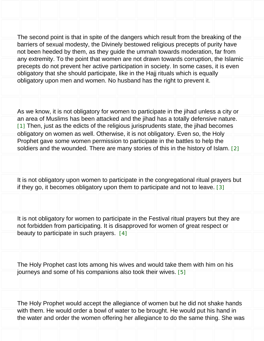The second point is that in spite of the dangers which result from the breaking of the barriers of sexual modesty, the Divinely bestowed religious precepts of purity have not been heeded by them, as they guide the ummah towards moderation, far from any extremity. To the point that women are not drawn towards corruption, the Islamic precepts do not prevent her active participation in society. In some cases, it is even obligatory that she should participate, like in the Hajj rituals which is equally obligatory upon men and women. No husband has the right to prevent it.

<span id="page-98-0"></span>As we know, it is not obligatory for women to participate in the jihad unless a city or an area of Muslims has been attacked and the jihad has a totally defensive nature. [\[1\]](#page-101-0) Then, just as the edicts of the religious jurisprudents state, the jihad becomes obligatory on women as well. Otherwise, it is not obligatory. Even so, the Holy Prophet gave some women permission to participate in the battles to help the soldiers and the wounded. There are many stories of this in the history of Islam. [\[2\]](#page-101-1)

<span id="page-98-2"></span><span id="page-98-1"></span>It is not obligatory upon women to participate in the congregational ritual prayers but if they go, it becomes obligatory upon them to participate and not to leave. [\[3\]](#page-101-2)

<span id="page-98-3"></span>It is not obligatory for women to participate in the Festival ritual prayers but they are not forbidden from participating. It is disapproved for women of great respect or beauty to participate in such prayers. [\[4\]](#page-101-3)

<span id="page-98-4"></span>The Holy Prophet cast lots among his wives and would take them with him on his journeys and some of his companions also took their wives. [\[5\]](#page-102-0)

The Holy Prophet would accept the allegiance of women but he did not shake hands with them. He would order a bowl of water to be brought. He would put his hand in the water and order the women offering her allegiance to do the same thing. She was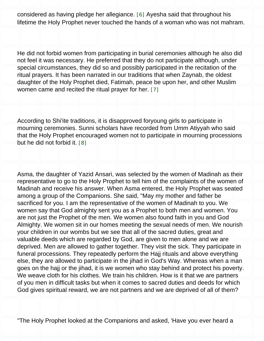<span id="page-99-0"></span>considered as having pledge her allegiance. [\[6\]](#page-102-1) Ayesha said that throughout his lifetime the Holy Prophet never touched the hands of a woman who was not mahram.

He did not forbid women from participating in burial ceremonies although he also did not feel it was necessary. He preferred that they do not participate although, under special circumstances, they did so and possibly participated in the recitation of the ritual prayers. It has been narrated in our traditions that when Zaynab, the oldest daughter of the Holy Prophet died, Fatimah, peace be upon her, and other Muslim women came and recited the ritual prayer for her. [\[7\]](#page-102-2)

<span id="page-99-1"></span>According to Shi'ite traditions, it is disapproved foryoung girls to participate in mourning ceremonies. Sunni scholars have recorded from Umm Atiyyah who said that the Holy Prophet encouraged women not to participate in mourning processions but he did not forbid it. [\[8\]](#page-102-3)

<span id="page-99-2"></span>Asma, the daughter of Yazid Ansari, was selected by the women of Madinah as their representative to go to the Holy Prophet to tell him of the complaints of the women of Madinah and receive his answer. When Asma entered, the Holy Prophet was seated among a group of the Companions. She said, "May my mother and father be sacrificed for you. I am the representative of the women of Madinah to you. We women say that God almighty sent you as a Prophet to both men and women. You are not just the Prophet of the men. We women also found faith in you and God Almighty. We women sit in our homes meeting the sexual needs of men. We nourish your children in our wombs but we see that all of the sacred duties, great and valuable deeds which are regarded by God, are given to men alone and we are deprived. Men are allowed to gather together. They visit the sick. They participate in funeral processions. They repeatedly perform the Hajj rituals and above everything else, they are allowed to participate in the jihad in God's Way. Whereas when a man goes on the hajj or the jihad, it is we women who stay behind and protect his poverty. We weave cloth for his clothes. We train his children. How is it that we are partners of you men in difficult tasks but when it comes to sacred duties and deeds for which God gives spiritual reward, we are not partners and we are deprived of all of them?

"The Holy Prophet looked at the Companions and asked, 'Have you ever heard a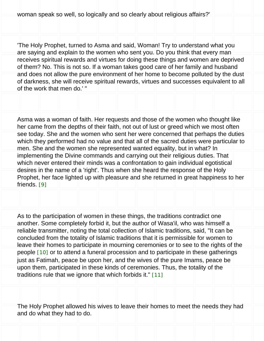woman speak so well, so logically and so clearly about religious affairs?'

'The Holy Prophet, turned to Asma and said, Woman! Try to understand what you are saying and explain to the women who sent you. Do you think that every man receives spiritual rewards and virtues for doing these things and women are deprived of them? No. This is not so. If a woman takes good care of her family and husband and does not allow the pure environment of her home to become polluted by the dust of darkness, she will receive spiritual rewards, virtues and successes equivalent to all of the work that men do.' "

Asma was a woman of faith. Her requests and those of the women who thought like her came from the depths of their faith, not out of lust or greed which we most often see today. She and the women who sent her were concerned that perhaps the duties which they performed had no value and that all of the sacred duties were particular to men. She and the women she represented wanted equality, but in what? In implementing the Divine commands and carrying out their religious duties. That which never entered their minds was a confrontation to gain individual egotistical desires in the name of a 'right'. Thus when she heard the response of the Holy Prophet, her face lighted up with pleasure and she returned in great happiness to her friends. [\[9\]](#page-102-4)

<span id="page-100-1"></span><span id="page-100-0"></span>As to the participation of women in these things, the traditions contradict one another. Some completely forbid it, but the author of Wasa'il, who was himself a reliable transmitter, noting the total collection of Islamic traditions, said, "It can be concluded from the totality of Islamic traditions that it is permissible for women to leave their homes to participate in mourning ceremonies or to see to the rights of the people [\[10\]](#page-102-5) or to attend a funeral procession and to participate in these gatherings just as Fatimah, peace be upon her, and the wives of the pure Imams, peace be upon them, participated in these kinds of ceremonies. Thus, the totality of the traditions rule that we ignore that which forbids it." [\[11\]](#page-102-6)

<span id="page-100-2"></span>The Holy Prophet allowed his wives to leave their homes to meet the needs they had and do what they had to do.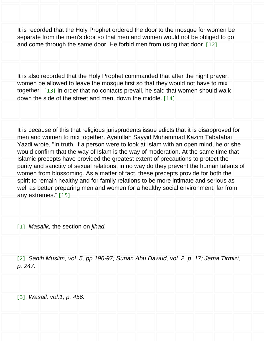<span id="page-101-4"></span>It is recorded that the Holy Prophet ordered the door to the mosque for women be separate from the men's door so that men and women would not be obliged to go and come through the same door. He forbid men from using that door. [\[12\]](#page-102-7)

<span id="page-101-5"></span>It is also recorded that the Holy Prophet commanded that after the night prayer, women be allowed to leave the mosque first so that they would not have to mix together. [\[13\]](#page-103-0) In order that no contacts prevail, he said that women should walk down the side of the street and men, down the middle. [\[14\]](#page-103-1)

<span id="page-101-6"></span>It is because of this that religious jurisprudents issue edicts that it is disapproved for men and women to mix together. Ayatullah Sayyid Muhammad Kazim Tabatabai Yazdi wrote, "In truth, if a person were to look at Islam with an open mind, he or she would confirm that the way of Islam is the way of moderation. At the same time that Islamic precepts have provided the greatest extent of precautions to protect the purity and sanctity of sexual relations, in no way do they prevent the human talents of women from blossoming. As a matter of fact, these precepts provide for both the spirit to remain healthy and for family relations to be more intimate and serious as well as better preparing men and women for a healthy social environment, far from any extremes." [\[15\]](#page-103-2)

<span id="page-101-7"></span><span id="page-101-0"></span>[\[1\]](#page-98-0). Masalik, the section on *jihad.* 

<span id="page-101-1"></span>[\[2\]](#page-98-1). Sahih Muslim, vol. 5, pp.196‑97; Sunan Abu Dawud, vol. 2, p. 17; Jama Tirmizi, p. 247.

<span id="page-101-3"></span><span id="page-101-2"></span>[\[3\]](#page-98-2). Wasail, vol. 1, p. 456.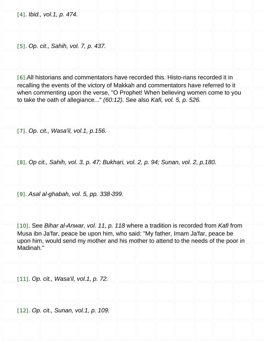[\[4\]](#page-98-3). *Ibid.*, vol.1, p. 474.

<span id="page-102-0"></span>[\[5\]](#page-98-4). Op. cit., Sahih, vol. 7, p. 437.

<span id="page-102-1"></span>[\[6\]](#page-99-0).All historians and commentators have recorded this. Histo-rians recorded it in recalling the events of the victory of Makkah and commentators have referred to it when commenting upon the verse, "O Prophet! When believing women come to you to take the oath of allegiance..." (60:12). See also Kafi, vol. 5, p. 526.

<span id="page-102-2"></span>[\[7\]](#page-99-1). Op. cit., Wasa'il, vol. 1, p. 156.

<span id="page-102-3"></span>[\[8\]](#page-99-2). Op cit., Sahih, vol. 3, p. 47; Bukhari, vol. 2, p. 94; Sunan, vol. 2, p.180.

<span id="page-102-4"></span>[\[9\]](#page-100-0). Asal al-ghabah, vol. 5, pp. 338-399.

<span id="page-102-5"></span>[\[10\]](#page-100-1). See Bihar al-Anwar, vol. 11, p. 118 where a tradition is recorded from Kafi from Musa ibn Ja'far, peace be upon him, who said: "My father, Imam Ja'far, peace be upon him, would send my mother and his mother to attend to the needs of the poor in Madinah<sup>"</sup>

<span id="page-102-6"></span>[\[11\]](#page-100-2). Op. cit., Wasa'il, vol. 1, p. 72.

<span id="page-102-7"></span>[\[12\]](#page-101-4). Op. cit., Sunan, vol. 1, p. 109.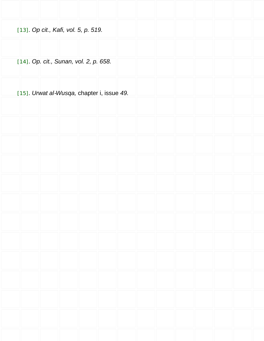<span id="page-103-2"></span><span id="page-103-1"></span><span id="page-103-0"></span>

| [13]. Op cit., Kafi, vol. 5, p. 519.       |  |
|--------------------------------------------|--|
| [14]. Op. cit., Sunan, vol. 2, p. 658.     |  |
| [15]. Urwat al-Wusqa, chapter i, issue 49. |  |
|                                            |  |
|                                            |  |
|                                            |  |
|                                            |  |
|                                            |  |
|                                            |  |
|                                            |  |
|                                            |  |
|                                            |  |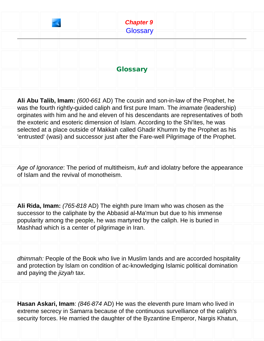

**Ali Abu Talib, Imam:** (600‑661 AD) The cousin and son‑in‑law of the Prophet, he was the fourth rightly-guided caliph and first pure Imam. The *imamate* (leadership) orginates with him and he and eleven of his descendants are representatives of both the exoteric and esoteric dimension of Islam. According to the Shi'ites, he was selected at a place outside of Makkah called Ghadir Khumm by the Prophet as his 'entrusted' (wasi) and successor just after the Fare-well Pilgrimage of the Prophet.

Age of Ignorance: The period of multitheism, kufr and idolatry before the appearance of Islam and the revival of monotheism.

**Ali Rida, Imam:** (765‑818 AD) The eighth pure Imam who was chosen as the successor to the caliphate by the Abbasid al‑Ma'mun but due to his immense popularity among the people, he was martyred by the caliph. He is buried in Mashhad which is a center of pilgrimage in Iran.

dhimmah: People of the Book who live in Muslim lands and are accorded hospitality and protection by Islam on condition of ac-knowledging Islamic political domination and paying the *jizyah* tax.

**Hasan Askari, Imam:** (846-874 AD) He was the eleventh pure Imam who lived in extreme secrecy in Samarra because of the continuous survelliance of the caliph's security forces. He married the daughter of the Byzantine Emperor, Nargis Khatun,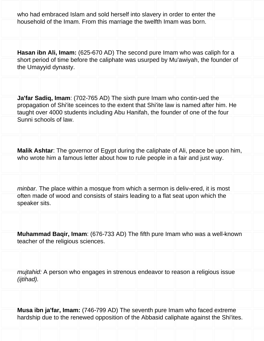who had embraced Islam and sold herself into slavery in order to enter the household of the Imam. From this marriage the twelfth Imam was born.

**Hasan ibn Ali, Imam:** (625‑670 AD) The second pure Imam who was caliph for a short period of time before the caliphate was usurped by Mu'awiyah, the founder of the Umayyid dynasty.

**Ja'far Sadiq, Imam**: (702‑765 AD) The sixth pure Imam who contin-ued the propagation of Shi'ite sceinces to the extent that Shi'ite law is named after him. He taught over 4000 students including Abu Hanifah, the founder of one of the four Sunni schools of law.

**Malik Ashtar**: The governor of Egypt during the caliphate of Ali, peace be upon him, who wrote him a famous letter about how to rule people in a fair and just way.

minbar. The place within a mosque from which a sermon is deliv-ered, it is most often made of wood and consists of stairs leading to a flat seat upon which the speaker sits.

**Muhammad Baqir, Imam**: (676-733 AD) The fifth pure Imam who was a well-known teacher of the religious sciences.

mujtahid: A person who engages in strenous endeavor to reason a religious issue (ijtihad).

**Musa ibn ja'far, Imam:** (746‑799 AD) The seventh pure Imam who faced extreme hardship due to the renewed opposition of the Abbasid caliphate against the Shi'ites.